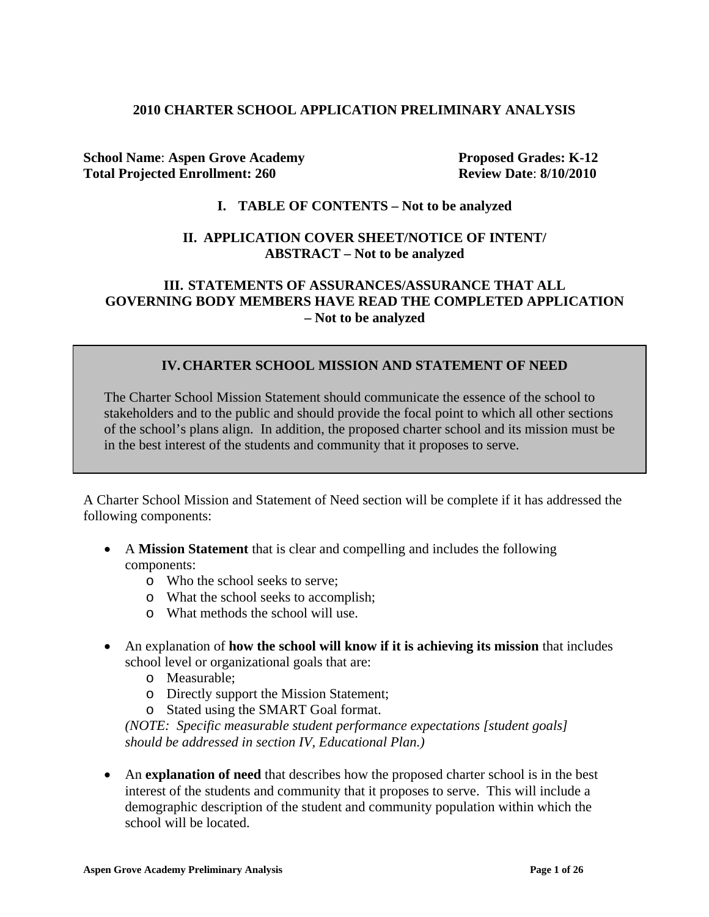#### **2010 CHARTER SCHOOL APPLICATION PRELIMINARY ANALYSIS**

**School Name: Aspen Grove Academy Proposed Grades: K-12 Total Projected Enrollment: 260 Review Date**: **8/10/2010**

#### **I. TABLE OF CONTENTS – Not to be analyzed**

### **II. APPLICATION COVER SHEET/NOTICE OF INTENT/ ABSTRACT – Not to be analyzed**

### **III. STATEMENTS OF ASSURANCES/ASSURANCE THAT ALL GOVERNING BODY MEMBERS HAVE READ THE COMPLETED APPLICATION – Not to be analyzed**

### **IV.CHARTER SCHOOL MISSION AND STATEMENT OF NEED**

The Charter School Mission Statement should communicate the essence of the school to stakeholders and to the public and should provide the focal point to which all other sections of the school's plans align. In addition, the proposed charter school and its mission must be in the best interest of the students and community that it proposes to serve.

A Charter School Mission and Statement of Need section will be complete if it has addressed the following components:

- A **Mission Statement** that is clear and compelling and includes the following components:
	- o Who the school seeks to serve;
	- o What the school seeks to accomplish;
	- o What methods the school will use.
- An explanation of **how the school will know if it is achieving its mission** that includes school level or organizational goals that are:
	- o Measurable;
	- o Directly support the Mission Statement;
	- o Stated using the SMART Goal format.

*(NOTE: Specific measurable student performance expectations [student goals] should be addressed in section IV, Educational Plan.)*

• An **explanation of need** that describes how the proposed charter school is in the best interest of the students and community that it proposes to serve. This will include a demographic description of the student and community population within which the school will be located.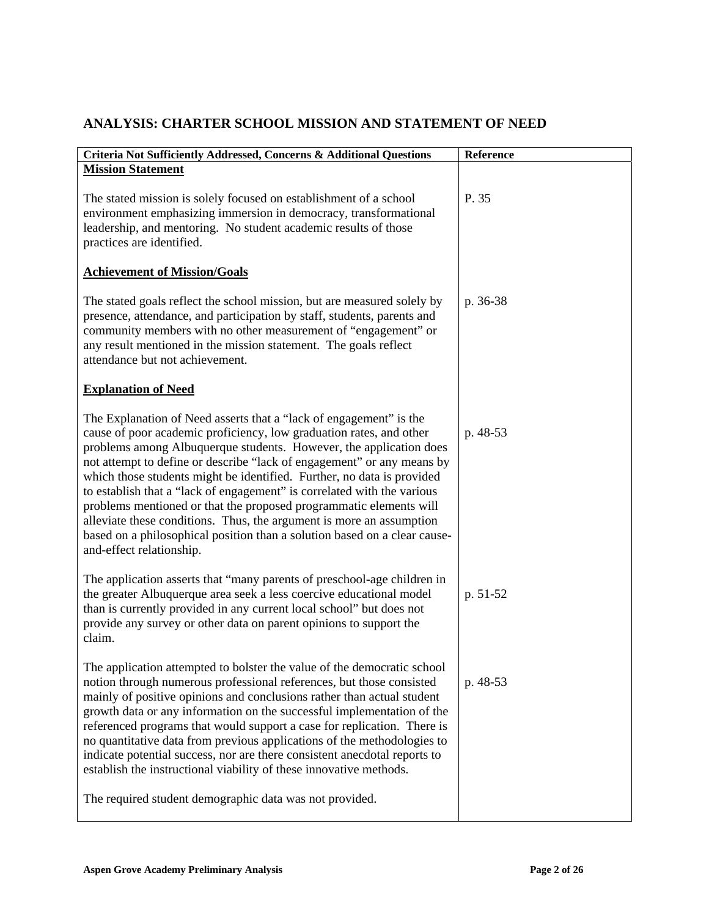|  | ANALYSIS: CHARTER SCHOOL MISSION AND STATEMENT OF NEED |
|--|--------------------------------------------------------|
|--|--------------------------------------------------------|

| Criteria Not Sufficiently Addressed, Concerns & Additional Questions                                                                                                                                                                                                                                                                                                                                                                                                                                                                                                                                                                                                                                  | Reference |
|-------------------------------------------------------------------------------------------------------------------------------------------------------------------------------------------------------------------------------------------------------------------------------------------------------------------------------------------------------------------------------------------------------------------------------------------------------------------------------------------------------------------------------------------------------------------------------------------------------------------------------------------------------------------------------------------------------|-----------|
| <b>Mission Statement</b>                                                                                                                                                                                                                                                                                                                                                                                                                                                                                                                                                                                                                                                                              |           |
| The stated mission is solely focused on establishment of a school<br>environment emphasizing immersion in democracy, transformational<br>leadership, and mentoring. No student academic results of those<br>practices are identified.                                                                                                                                                                                                                                                                                                                                                                                                                                                                 | P. 35     |
| <b>Achievement of Mission/Goals</b>                                                                                                                                                                                                                                                                                                                                                                                                                                                                                                                                                                                                                                                                   |           |
| The stated goals reflect the school mission, but are measured solely by<br>presence, attendance, and participation by staff, students, parents and<br>community members with no other measurement of "engagement" or<br>any result mentioned in the mission statement. The goals reflect<br>attendance but not achievement.                                                                                                                                                                                                                                                                                                                                                                           | p. 36-38  |
| <b>Explanation of Need</b>                                                                                                                                                                                                                                                                                                                                                                                                                                                                                                                                                                                                                                                                            |           |
| The Explanation of Need asserts that a "lack of engagement" is the<br>cause of poor academic proficiency, low graduation rates, and other<br>problems among Albuquerque students. However, the application does<br>not attempt to define or describe "lack of engagement" or any means by<br>which those students might be identified. Further, no data is provided<br>to establish that a "lack of engagement" is correlated with the various<br>problems mentioned or that the proposed programmatic elements will<br>alleviate these conditions. Thus, the argument is more an assumption<br>based on a philosophical position than a solution based on a clear cause-<br>and-effect relationship. | p. 48-53  |
| The application asserts that "many parents of preschool-age children in<br>the greater Albuquerque area seek a less coercive educational model<br>than is currently provided in any current local school" but does not<br>provide any survey or other data on parent opinions to support the<br>claim.                                                                                                                                                                                                                                                                                                                                                                                                | p. 51-52  |
| The application attempted to bolster the value of the democratic school<br>notion through numerous professional references, but those consisted<br>mainly of positive opinions and conclusions rather than actual student<br>growth data or any information on the successful implementation of the<br>referenced programs that would support a case for replication. There is<br>no quantitative data from previous applications of the methodologies to<br>indicate potential success, nor are there consistent anecdotal reports to<br>establish the instructional viability of these innovative methods.<br>The required student demographic data was not provided.                               | p. 48-53  |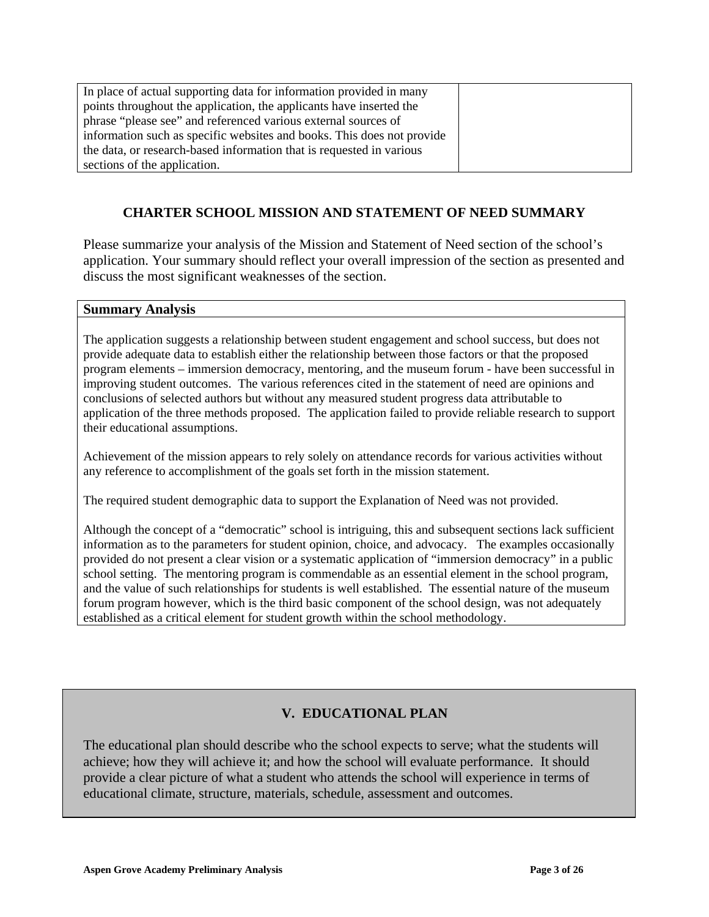In place of actual supporting data for information provided in many points throughout the application, the applicants have inserted the phrase "please see" and referenced various external sources of information such as specific websites and books. This does not provide the data, or research-based information that is requested in various sections of the application.

## **CHARTER SCHOOL MISSION AND STATEMENT OF NEED SUMMARY**

Please summarize your analysis of the Mission and Statement of Need section of the school's application. Your summary should reflect your overall impression of the section as presented and discuss the most significant weaknesses of the section.

#### **Summary Analysis**

The application suggests a relationship between student engagement and school success, but does not provide adequate data to establish either the relationship between those factors or that the proposed program elements – immersion democracy, mentoring, and the museum forum - have been successful in improving student outcomes. The various references cited in the statement of need are opinions and conclusions of selected authors but without any measured student progress data attributable to application of the three methods proposed. The application failed to provide reliable research to support their educational assumptions.

Achievement of the mission appears to rely solely on attendance records for various activities without any reference to accomplishment of the goals set forth in the mission statement.

The required student demographic data to support the Explanation of Need was not provided.

Although the concept of a "democratic" school is intriguing, this and subsequent sections lack sufficient information as to the parameters for student opinion, choice, and advocacy. The examples occasionally provided do not present a clear vision or a systematic application of "immersion democracy" in a public school setting. The mentoring program is commendable as an essential element in the school program, and the value of such relationships for students is well established. The essential nature of the museum forum program however, which is the third basic component of the school design, was not adequately established as a critical element for student growth within the school methodology.

# **V. EDUCATIONAL PLAN**

The educational plan should describe who the school expects to serve; what the students will achieve; how they will achieve it; and how the school will evaluate performance. It should provide a clear picture of what a student who attends the school will experience in terms of educational climate, structure, materials, schedule, assessment and outcomes.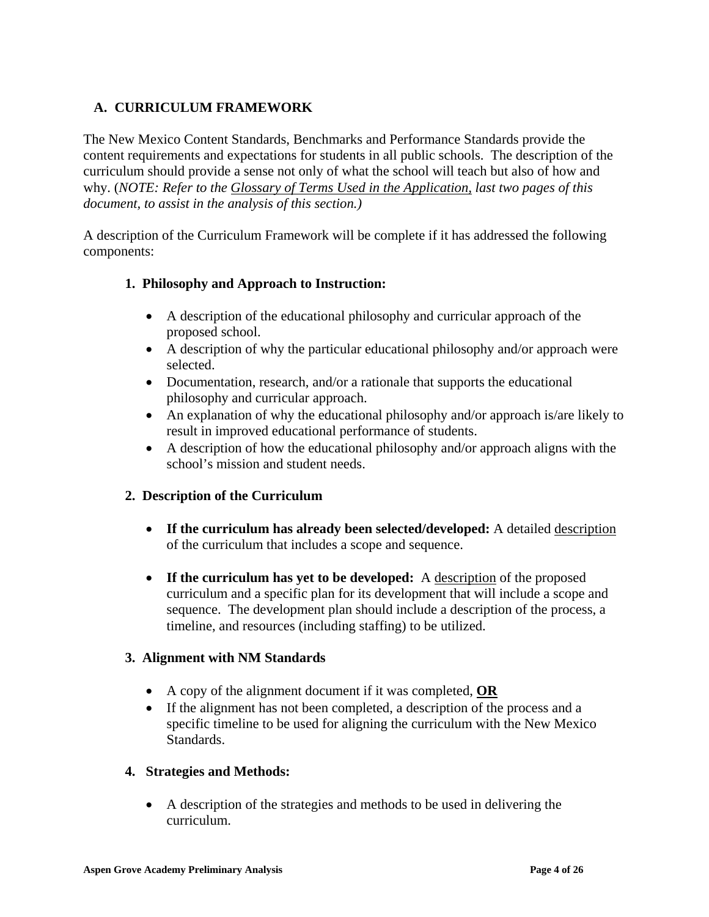# **A. CURRICULUM FRAMEWORK**

The New Mexico Content Standards, Benchmarks and Performance Standards provide the content requirements and expectations for students in all public schools. The description of the curriculum should provide a sense not only of what the school will teach but also of how and why. (*NOTE: Refer to the Glossary of Terms Used in the Application, last two pages of this document, to assist in the analysis of this section.)*

A description of the Curriculum Framework will be complete if it has addressed the following components:

### **1. Philosophy and Approach to Instruction:**

- A description of the educational philosophy and curricular approach of the proposed school.
- A description of why the particular educational philosophy and/or approach were selected.
- Documentation, research, and/or a rationale that supports the educational philosophy and curricular approach.
- An explanation of why the educational philosophy and/or approach is/are likely to result in improved educational performance of students.
- A description of how the educational philosophy and/or approach aligns with the school's mission and student needs.

## **2. Description of the Curriculum**

- **If the curriculum has already been selected/developed:** A detailed description of the curriculum that includes a scope and sequence.
- If the curriculum has yet to be developed: A description of the proposed curriculum and a specific plan for its development that will include a scope and sequence. The development plan should include a description of the process, a timeline, and resources (including staffing) to be utilized.

### **3. Alignment with NM Standards**

- A copy of the alignment document if it was completed, **OR**
- If the alignment has not been completed, a description of the process and a specific timeline to be used for aligning the curriculum with the New Mexico Standards.

### **4. Strategies and Methods:**

• A description of the strategies and methods to be used in delivering the curriculum.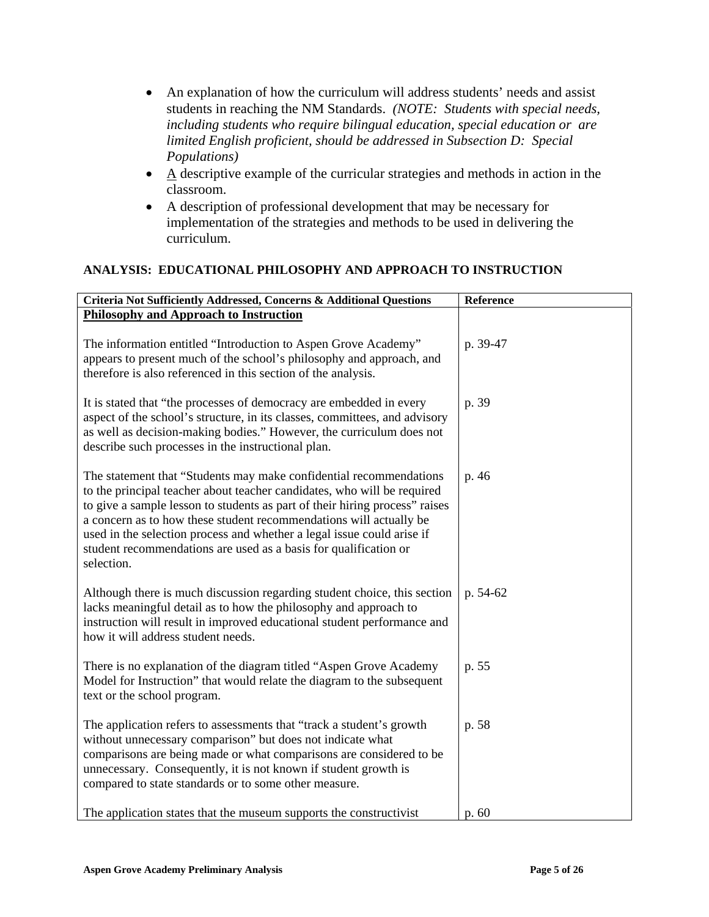- An explanation of how the curriculum will address students' needs and assist students in reaching the NM Standards. *(NOTE: Students with special needs, including students who require bilingual education, special education or are limited English proficient, should be addressed in Subsection D: Special Populations)*
- $\bullet$  A descriptive example of the curricular strategies and methods in action in the classroom.
- A description of professional development that may be necessary for implementation of the strategies and methods to be used in delivering the curriculum.

### **ANALYSIS: EDUCATIONAL PHILOSOPHY AND APPROACH TO INSTRUCTION**

| Criteria Not Sufficiently Addressed, Concerns & Additional Questions                                                                                                                                                                                                                                                                                                                                                                                            | Reference |
|-----------------------------------------------------------------------------------------------------------------------------------------------------------------------------------------------------------------------------------------------------------------------------------------------------------------------------------------------------------------------------------------------------------------------------------------------------------------|-----------|
| <b>Philosophy and Approach to Instruction</b>                                                                                                                                                                                                                                                                                                                                                                                                                   |           |
| The information entitled "Introduction to Aspen Grove Academy"<br>appears to present much of the school's philosophy and approach, and<br>therefore is also referenced in this section of the analysis.                                                                                                                                                                                                                                                         | p. 39-47  |
| It is stated that "the processes of democracy are embedded in every<br>aspect of the school's structure, in its classes, committees, and advisory<br>as well as decision-making bodies." However, the curriculum does not<br>describe such processes in the instructional plan.                                                                                                                                                                                 | p. 39     |
| The statement that "Students may make confidential recommendations"<br>to the principal teacher about teacher candidates, who will be required<br>to give a sample lesson to students as part of their hiring process" raises<br>a concern as to how these student recommendations will actually be<br>used in the selection process and whether a legal issue could arise if<br>student recommendations are used as a basis for qualification or<br>selection. | p. 46     |
| Although there is much discussion regarding student choice, this section<br>lacks meaningful detail as to how the philosophy and approach to<br>instruction will result in improved educational student performance and<br>how it will address student needs.                                                                                                                                                                                                   | p. 54-62  |
| There is no explanation of the diagram titled "Aspen Grove Academy<br>Model for Instruction" that would relate the diagram to the subsequent<br>text or the school program.                                                                                                                                                                                                                                                                                     | p. 55     |
| The application refers to assessments that "track a student's growth<br>without unnecessary comparison" but does not indicate what<br>comparisons are being made or what comparisons are considered to be<br>unnecessary. Consequently, it is not known if student growth is<br>compared to state standards or to some other measure.                                                                                                                           | p. 58     |
| The application states that the museum supports the constructivist                                                                                                                                                                                                                                                                                                                                                                                              | p. 60     |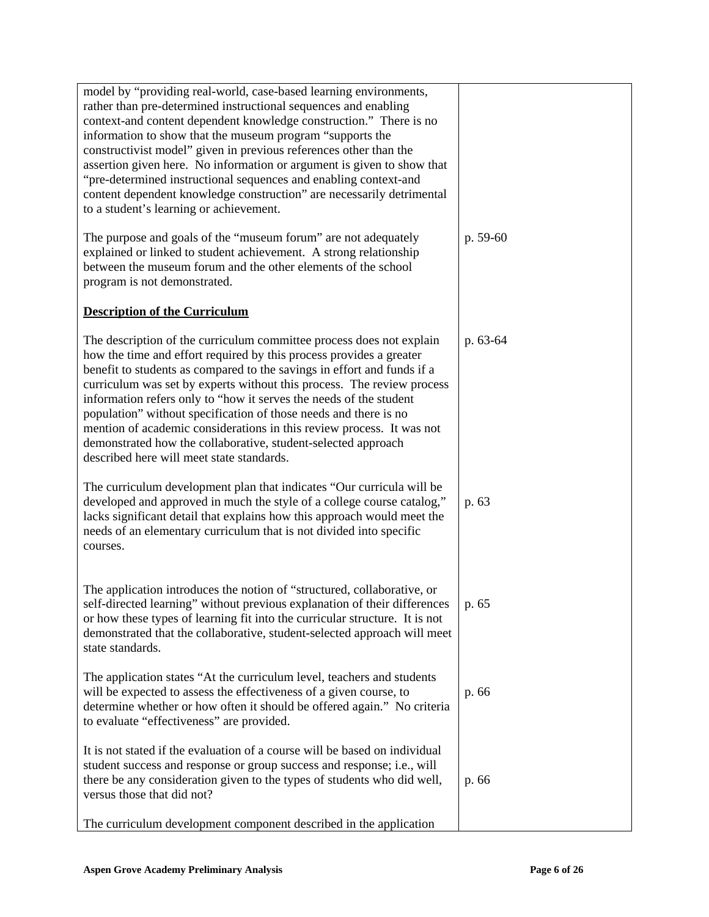| model by "providing real-world, case-based learning environments,<br>rather than pre-determined instructional sequences and enabling<br>context-and content dependent knowledge construction." There is no<br>information to show that the museum program "supports the<br>constructivist model" given in previous references other than the<br>assertion given here. No information or argument is given to show that<br>"pre-determined instructional sequences and enabling context-and<br>content dependent knowledge construction" are necessarily detrimental<br>to a student's learning or achievement.                    |          |
|-----------------------------------------------------------------------------------------------------------------------------------------------------------------------------------------------------------------------------------------------------------------------------------------------------------------------------------------------------------------------------------------------------------------------------------------------------------------------------------------------------------------------------------------------------------------------------------------------------------------------------------|----------|
| The purpose and goals of the "museum forum" are not adequately<br>explained or linked to student achievement. A strong relationship<br>between the museum forum and the other elements of the school<br>program is not demonstrated.                                                                                                                                                                                                                                                                                                                                                                                              | p. 59-60 |
| <b>Description of the Curriculum</b>                                                                                                                                                                                                                                                                                                                                                                                                                                                                                                                                                                                              |          |
| The description of the curriculum committee process does not explain<br>how the time and effort required by this process provides a greater<br>benefit to students as compared to the savings in effort and funds if a<br>curriculum was set by experts without this process. The review process<br>information refers only to "how it serves the needs of the student<br>population" without specification of those needs and there is no<br>mention of academic considerations in this review process. It was not<br>demonstrated how the collaborative, student-selected approach<br>described here will meet state standards. | p. 63-64 |
| The curriculum development plan that indicates "Our curricula will be<br>developed and approved in much the style of a college course catalog,"<br>lacks significant detail that explains how this approach would meet the<br>needs of an elementary curriculum that is not divided into specific<br>courses.                                                                                                                                                                                                                                                                                                                     | p. 63    |
| The application introduces the notion of "structured, collaborative, or<br>self-directed learning" without previous explanation of their differences<br>or how these types of learning fit into the curricular structure. It is not<br>demonstrated that the collaborative, student-selected approach will meet<br>state standards.                                                                                                                                                                                                                                                                                               | p. 65    |
| The application states "At the curriculum level, teachers and students<br>will be expected to assess the effectiveness of a given course, to<br>determine whether or how often it should be offered again." No criteria<br>to evaluate "effectiveness" are provided.                                                                                                                                                                                                                                                                                                                                                              | p. 66    |
| It is not stated if the evaluation of a course will be based on individual<br>student success and response or group success and response; i.e., will<br>there be any consideration given to the types of students who did well,<br>versus those that did not?                                                                                                                                                                                                                                                                                                                                                                     | p. 66    |
| The curriculum development component described in the application                                                                                                                                                                                                                                                                                                                                                                                                                                                                                                                                                                 |          |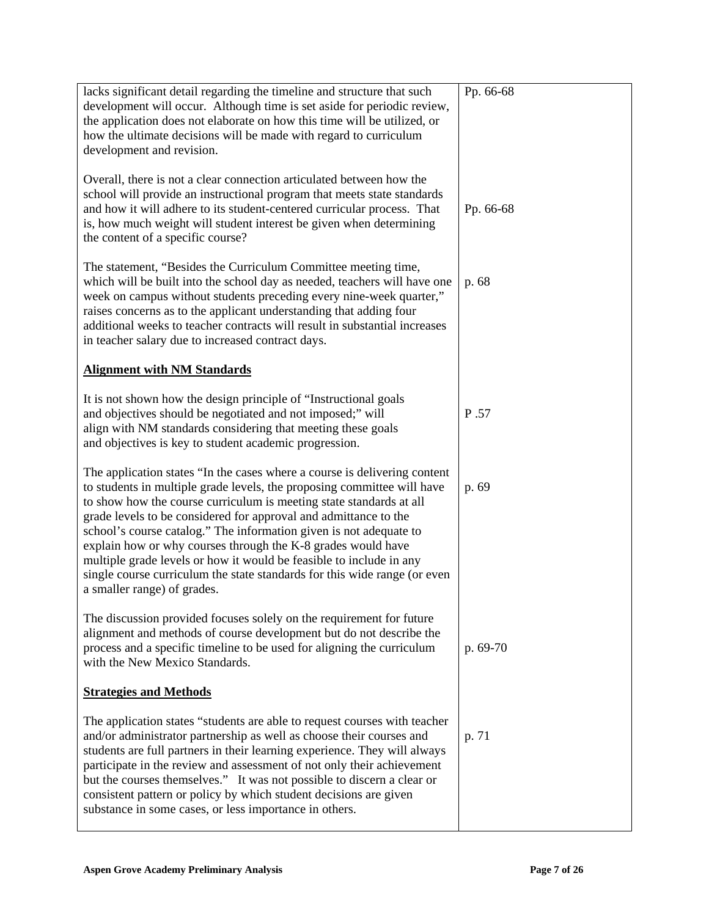| lacks significant detail regarding the timeline and structure that such<br>development will occur. Although time is set aside for periodic review,<br>the application does not elaborate on how this time will be utilized, or<br>how the ultimate decisions will be made with regard to curriculum<br>development and revision.                                                                                                                                                                                                                                                                                         | Pp. 66-68 |
|--------------------------------------------------------------------------------------------------------------------------------------------------------------------------------------------------------------------------------------------------------------------------------------------------------------------------------------------------------------------------------------------------------------------------------------------------------------------------------------------------------------------------------------------------------------------------------------------------------------------------|-----------|
| Overall, there is not a clear connection articulated between how the<br>school will provide an instructional program that meets state standards<br>and how it will adhere to its student-centered curricular process. That<br>is, how much weight will student interest be given when determining<br>the content of a specific course?                                                                                                                                                                                                                                                                                   | Pp. 66-68 |
| The statement, "Besides the Curriculum Committee meeting time,<br>which will be built into the school day as needed, teachers will have one<br>week on campus without students preceding every nine-week quarter,"<br>raises concerns as to the applicant understanding that adding four<br>additional weeks to teacher contracts will result in substantial increases<br>in teacher salary due to increased contract days.                                                                                                                                                                                              | p. 68     |
| <b>Alignment with NM Standards</b>                                                                                                                                                                                                                                                                                                                                                                                                                                                                                                                                                                                       |           |
| It is not shown how the design principle of "Instructional goals"<br>and objectives should be negotiated and not imposed;" will<br>align with NM standards considering that meeting these goals<br>and objectives is key to student academic progression.                                                                                                                                                                                                                                                                                                                                                                | P.57      |
| The application states "In the cases where a course is delivering content<br>to students in multiple grade levels, the proposing committee will have<br>to show how the course curriculum is meeting state standards at all<br>grade levels to be considered for approval and admittance to the<br>school's course catalog." The information given is not adequate to<br>explain how or why courses through the K-8 grades would have<br>multiple grade levels or how it would be feasible to include in any<br>single course curriculum the state standards for this wide range (or even<br>a smaller range) of grades. | p. 69     |
| The discussion provided focuses solely on the requirement for future<br>alignment and methods of course development but do not describe the<br>process and a specific timeline to be used for aligning the curriculum<br>with the New Mexico Standards.                                                                                                                                                                                                                                                                                                                                                                  | p. 69-70  |
| <b>Strategies and Methods</b>                                                                                                                                                                                                                                                                                                                                                                                                                                                                                                                                                                                            |           |
| The application states "students are able to request courses with teacher<br>and/or administrator partnership as well as choose their courses and<br>students are full partners in their learning experience. They will always<br>participate in the review and assessment of not only their achievement<br>but the courses themselves." It was not possible to discern a clear or<br>consistent pattern or policy by which student decisions are given<br>substance in some cases, or less importance in others.                                                                                                        | p. 71     |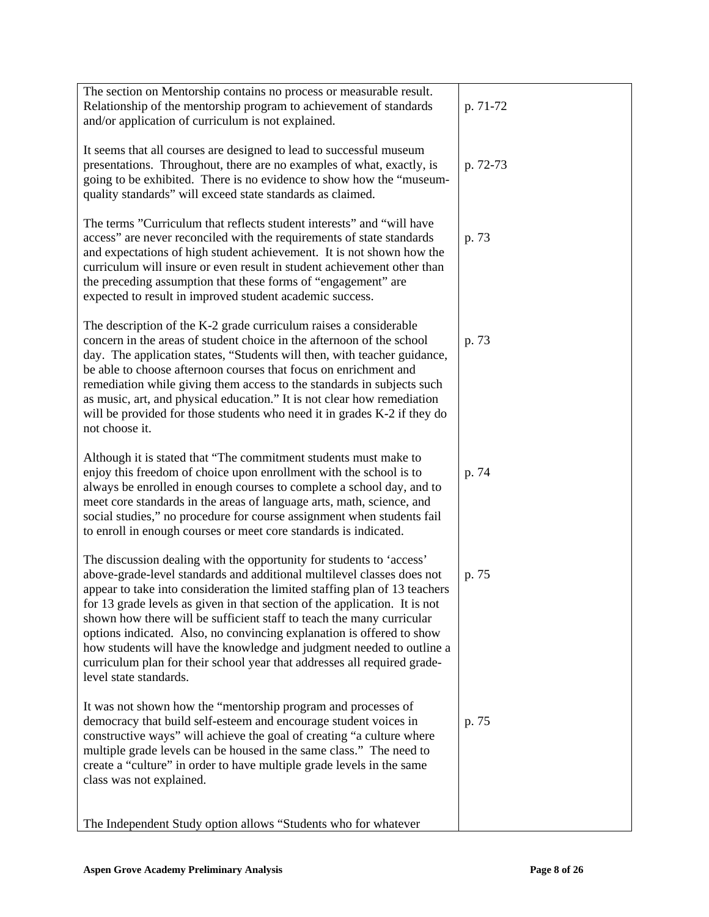| The section on Mentorship contains no process or measurable result.                                                                                      |          |
|----------------------------------------------------------------------------------------------------------------------------------------------------------|----------|
| Relationship of the mentorship program to achievement of standards<br>and/or application of curriculum is not explained.                                 | p. 71-72 |
|                                                                                                                                                          |          |
| It seems that all courses are designed to lead to successful museum                                                                                      |          |
| presentations. Throughout, there are no examples of what, exactly, is<br>going to be exhibited. There is no evidence to show how the "museum-            | p. 72-73 |
| quality standards" will exceed state standards as claimed.                                                                                               |          |
|                                                                                                                                                          |          |
| The terms "Curriculum that reflects student interests" and "will have<br>access" are never reconciled with the requirements of state standards           | p. 73    |
| and expectations of high student achievement. It is not shown how the                                                                                    |          |
| curriculum will insure or even result in student achievement other than                                                                                  |          |
| the preceding assumption that these forms of "engagement" are<br>expected to result in improved student academic success.                                |          |
|                                                                                                                                                          |          |
| The description of the K-2 grade curriculum raises a considerable<br>concern in the areas of student choice in the afternoon of the school               | p. 73    |
| day. The application states, "Students will then, with teacher guidance,                                                                                 |          |
| be able to choose afternoon courses that focus on enrichment and                                                                                         |          |
| remediation while giving them access to the standards in subjects such<br>as music, art, and physical education." It is not clear how remediation        |          |
| will be provided for those students who need it in grades K-2 if they do                                                                                 |          |
| not choose it.                                                                                                                                           |          |
| Although it is stated that "The commitment students must make to                                                                                         |          |
| enjoy this freedom of choice upon enrollment with the school is to                                                                                       | p. 74    |
| always be enrolled in enough courses to complete a school day, and to                                                                                    |          |
| meet core standards in the areas of language arts, math, science, and<br>social studies," no procedure for course assignment when students fail          |          |
| to enroll in enough courses or meet core standards is indicated.                                                                                         |          |
| The discussion dealing with the opportunity for students to 'access'                                                                                     |          |
| above-grade-level standards and additional multilevel classes does not                                                                                   | p. 75    |
| appear to take into consideration the limited staffing plan of 13 teachers<br>for 13 grade levels as given in that section of the application. It is not |          |
| shown how there will be sufficient staff to teach the many curricular                                                                                    |          |
| options indicated. Also, no convincing explanation is offered to show                                                                                    |          |
| how students will have the knowledge and judgment needed to outline a<br>curriculum plan for their school year that addresses all required grade-        |          |
| level state standards.                                                                                                                                   |          |
| It was not shown how the "mentorship program and processes of                                                                                            |          |
| democracy that build self-esteem and encourage student voices in                                                                                         | p. 75    |
| constructive ways" will achieve the goal of creating "a culture where                                                                                    |          |
| multiple grade levels can be housed in the same class." The need to<br>create a "culture" in order to have multiple grade levels in the same             |          |
| class was not explained.                                                                                                                                 |          |
|                                                                                                                                                          |          |
| The Independent Study option allows "Students who for whatever                                                                                           |          |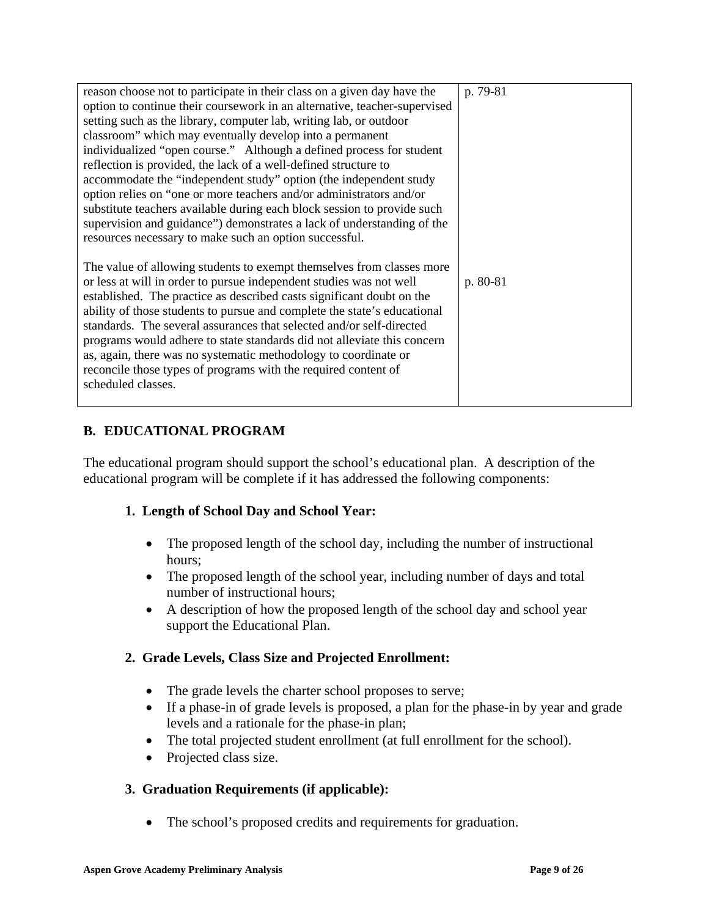| reason choose not to participate in their class on a given day have the   | p. 79-81 |
|---------------------------------------------------------------------------|----------|
| option to continue their coursework in an alternative, teacher-supervised |          |
| setting such as the library, computer lab, writing lab, or outdoor        |          |
| classroom" which may eventually develop into a permanent                  |          |
| individualized "open course." Although a defined process for student      |          |
| reflection is provided, the lack of a well-defined structure to           |          |
| accommodate the "independent study" option (the independent study         |          |
| option relies on "one or more teachers and/or administrators and/or       |          |
| substitute teachers available during each block session to provide such   |          |
| supervision and guidance") demonstrates a lack of understanding of the    |          |
| resources necessary to make such an option successful.                    |          |
|                                                                           |          |
| The value of allowing students to exempt themselves from classes more     |          |
| or less at will in order to pursue independent studies was not well       | p. 80-81 |
| established. The practice as described casts significant doubt on the     |          |
| ability of those students to pursue and complete the state's educational  |          |
| standards. The several assurances that selected and/or self-directed      |          |
| programs would adhere to state standards did not alleviate this concern   |          |
| as, again, there was no systematic methodology to coordinate or           |          |
| reconcile those types of programs with the required content of            |          |
| scheduled classes.                                                        |          |
|                                                                           |          |

## **B. EDUCATIONAL PROGRAM**

The educational program should support the school's educational plan. A description of the educational program will be complete if it has addressed the following components:

## **1. Length of School Day and School Year:**

- The proposed length of the school day, including the number of instructional hours;
- The proposed length of the school year, including number of days and total number of instructional hours;
- A description of how the proposed length of the school day and school year support the Educational Plan.

## **2. Grade Levels, Class Size and Projected Enrollment:**

- The grade levels the charter school proposes to serve;
- If a phase-in of grade levels is proposed, a plan for the phase-in by year and grade levels and a rationale for the phase-in plan;
- The total projected student enrollment (at full enrollment for the school).
- Projected class size.

## **3. Graduation Requirements (if applicable):**

• The school's proposed credits and requirements for graduation.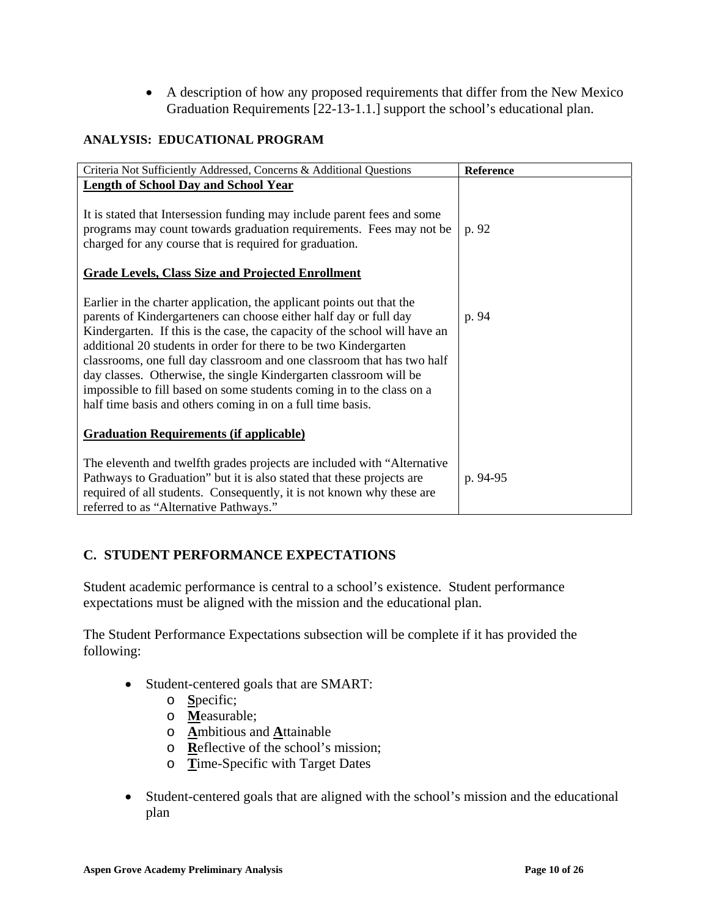• A description of how any proposed requirements that differ from the New Mexico Graduation Requirements [22-13-1.1.] support the school's educational plan.

### **ANALYSIS: EDUCATIONAL PROGRAM**

| Criteria Not Sufficiently Addressed, Concerns & Additional Questions                                                                                                                                                                                                                                                                                                                                                                                                                                                                                                               | Reference |
|------------------------------------------------------------------------------------------------------------------------------------------------------------------------------------------------------------------------------------------------------------------------------------------------------------------------------------------------------------------------------------------------------------------------------------------------------------------------------------------------------------------------------------------------------------------------------------|-----------|
| <b>Length of School Day and School Year</b>                                                                                                                                                                                                                                                                                                                                                                                                                                                                                                                                        |           |
| It is stated that Intersession funding may include parent fees and some<br>programs may count towards graduation requirements. Fees may not be<br>charged for any course that is required for graduation.                                                                                                                                                                                                                                                                                                                                                                          | p. 92     |
| <b>Grade Levels, Class Size and Projected Enrollment</b>                                                                                                                                                                                                                                                                                                                                                                                                                                                                                                                           |           |
| Earlier in the charter application, the applicant points out that the<br>parents of Kindergarteners can choose either half day or full day<br>Kindergarten. If this is the case, the capacity of the school will have an<br>additional 20 students in order for there to be two Kindergarten<br>classrooms, one full day classroom and one classroom that has two half<br>day classes. Otherwise, the single Kindergarten classroom will be<br>impossible to fill based on some students coming in to the class on a<br>half time basis and others coming in on a full time basis. | p. 94     |
| <b>Graduation Requirements (if applicable)</b>                                                                                                                                                                                                                                                                                                                                                                                                                                                                                                                                     |           |
| The eleventh and twelfth grades projects are included with "Alternative"<br>Pathways to Graduation" but it is also stated that these projects are<br>required of all students. Consequently, it is not known why these are<br>referred to as "Alternative Pathways."                                                                                                                                                                                                                                                                                                               | p. 94-95  |

# **C. STUDENT PERFORMANCE EXPECTATIONS**

Student academic performance is central to a school's existence. Student performance expectations must be aligned with the mission and the educational plan.

The Student Performance Expectations subsection will be complete if it has provided the following:

- Student-centered goals that are SMART:
	- o **S**pecific;
	- o **M**easurable;
	- o **A**mbitious and **A**ttainable
	- o **R**eflective of the school's mission;
	- o **T**ime-Specific with Target Dates
- Student-centered goals that are aligned with the school's mission and the educational plan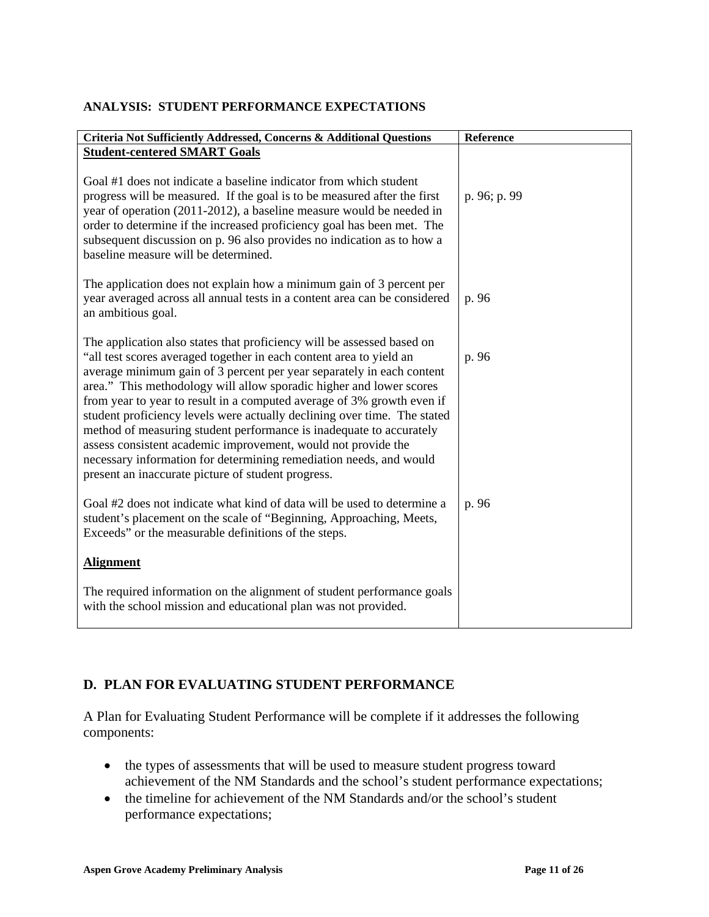| Criteria Not Sufficiently Addressed, Concerns & Additional Questions                                                                                                                                                                                                                                                                                                                                                                                                                                                                                                                                                                                                                                                    | Reference    |
|-------------------------------------------------------------------------------------------------------------------------------------------------------------------------------------------------------------------------------------------------------------------------------------------------------------------------------------------------------------------------------------------------------------------------------------------------------------------------------------------------------------------------------------------------------------------------------------------------------------------------------------------------------------------------------------------------------------------------|--------------|
| <b>Student-centered SMART Goals</b>                                                                                                                                                                                                                                                                                                                                                                                                                                                                                                                                                                                                                                                                                     |              |
| Goal #1 does not indicate a baseline indicator from which student<br>progress will be measured. If the goal is to be measured after the first<br>year of operation (2011-2012), a baseline measure would be needed in<br>order to determine if the increased proficiency goal has been met. The<br>subsequent discussion on p. 96 also provides no indication as to how a<br>baseline measure will be determined.                                                                                                                                                                                                                                                                                                       | p. 96; p. 99 |
| The application does not explain how a minimum gain of 3 percent per<br>year averaged across all annual tests in a content area can be considered<br>an ambitious goal.                                                                                                                                                                                                                                                                                                                                                                                                                                                                                                                                                 | p. 96        |
| The application also states that proficiency will be assessed based on<br>"all test scores averaged together in each content area to yield an<br>average minimum gain of 3 percent per year separately in each content<br>area." This methodology will allow sporadic higher and lower scores<br>from year to year to result in a computed average of 3% growth even if<br>student proficiency levels were actually declining over time. The stated<br>method of measuring student performance is inadequate to accurately<br>assess consistent academic improvement, would not provide the<br>necessary information for determining remediation needs, and would<br>present an inaccurate picture of student progress. | p. 96        |
| Goal #2 does not indicate what kind of data will be used to determine a<br>student's placement on the scale of "Beginning, Approaching, Meets,<br>Exceeds" or the measurable definitions of the steps.                                                                                                                                                                                                                                                                                                                                                                                                                                                                                                                  | p. 96        |
| <b>Alignment</b>                                                                                                                                                                                                                                                                                                                                                                                                                                                                                                                                                                                                                                                                                                        |              |
| The required information on the alignment of student performance goals<br>with the school mission and educational plan was not provided.                                                                                                                                                                                                                                                                                                                                                                                                                                                                                                                                                                                |              |

#### **ANALYSIS: STUDENT PERFORMANCE EXPECTATIONS**

## **D. PLAN FOR EVALUATING STUDENT PERFORMANCE**

A Plan for Evaluating Student Performance will be complete if it addresses the following components:

- the types of assessments that will be used to measure student progress toward achievement of the NM Standards and the school's student performance expectations;
- the timeline for achievement of the NM Standards and/or the school's student performance expectations;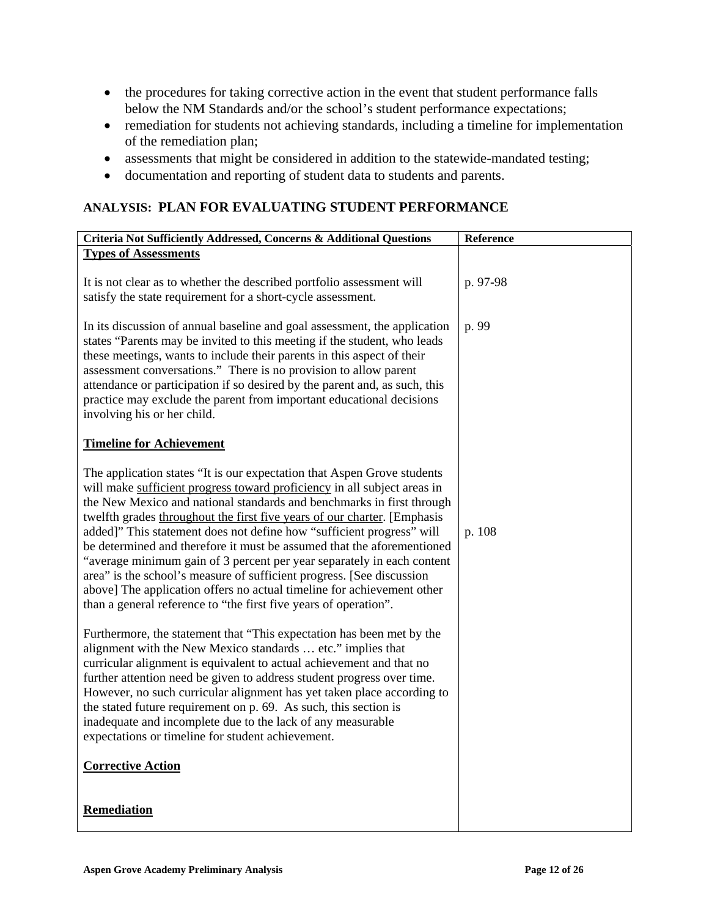- the procedures for taking corrective action in the event that student performance falls below the NM Standards and/or the school's student performance expectations;
- remediation for students not achieving standards, including a timeline for implementation of the remediation plan;
- assessments that might be considered in addition to the statewide-mandated testing;
- documentation and reporting of student data to students and parents.

### **ANALYSIS: PLAN FOR EVALUATING STUDENT PERFORMANCE**

| Criteria Not Sufficiently Addressed, Concerns & Additional Questions                                                                                                                                                                                                                                                                                                                                                                                                                                                                                                                                                                                                                                                                                          | Reference |
|---------------------------------------------------------------------------------------------------------------------------------------------------------------------------------------------------------------------------------------------------------------------------------------------------------------------------------------------------------------------------------------------------------------------------------------------------------------------------------------------------------------------------------------------------------------------------------------------------------------------------------------------------------------------------------------------------------------------------------------------------------------|-----------|
| <b>Types of Assessments</b>                                                                                                                                                                                                                                                                                                                                                                                                                                                                                                                                                                                                                                                                                                                                   |           |
| It is not clear as to whether the described portfolio assessment will<br>satisfy the state requirement for a short-cycle assessment.                                                                                                                                                                                                                                                                                                                                                                                                                                                                                                                                                                                                                          | p. 97-98  |
| In its discussion of annual baseline and goal assessment, the application<br>states "Parents may be invited to this meeting if the student, who leads<br>these meetings, wants to include their parents in this aspect of their<br>assessment conversations." There is no provision to allow parent<br>attendance or participation if so desired by the parent and, as such, this<br>practice may exclude the parent from important educational decisions<br>involving his or her child.                                                                                                                                                                                                                                                                      | p. 99     |
| <b>Timeline for Achievement</b>                                                                                                                                                                                                                                                                                                                                                                                                                                                                                                                                                                                                                                                                                                                               |           |
| The application states "It is our expectation that Aspen Grove students"<br>will make sufficient progress toward proficiency in all subject areas in<br>the New Mexico and national standards and benchmarks in first through<br>twelfth grades throughout the first five years of our charter. [Emphasis<br>added]" This statement does not define how "sufficient progress" will<br>be determined and therefore it must be assumed that the aforementioned<br>"average minimum gain of 3 percent per year separately in each content<br>area" is the school's measure of sufficient progress. [See discussion<br>above] The application offers no actual timeline for achievement other<br>than a general reference to "the first five years of operation". | p. 108    |
| Furthermore, the statement that "This expectation has been met by the<br>alignment with the New Mexico standards  etc." implies that<br>curricular alignment is equivalent to actual achievement and that no<br>further attention need be given to address student progress over time.<br>However, no such curricular alignment has yet taken place according to<br>the stated future requirement on p. 69. As such, this section is<br>inadequate and incomplete due to the lack of any measurable<br>expectations or timeline for student achievement.                                                                                                                                                                                                      |           |
| <b>Corrective Action</b>                                                                                                                                                                                                                                                                                                                                                                                                                                                                                                                                                                                                                                                                                                                                      |           |
|                                                                                                                                                                                                                                                                                                                                                                                                                                                                                                                                                                                                                                                                                                                                                               |           |
| Remediation                                                                                                                                                                                                                                                                                                                                                                                                                                                                                                                                                                                                                                                                                                                                                   |           |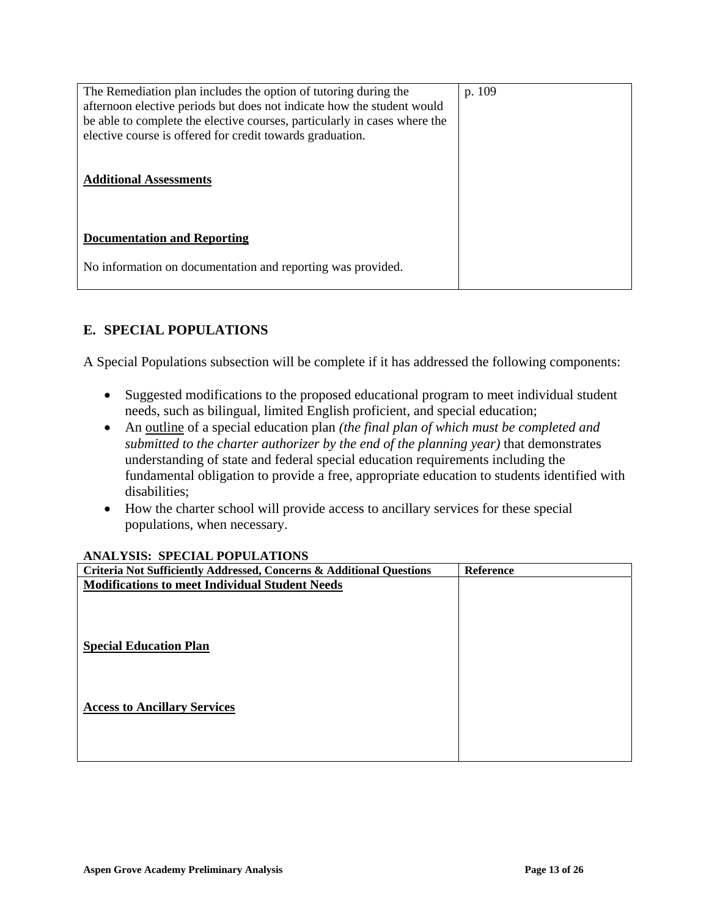| The Remediation plan includes the option of tutoring during the<br>afternoon elective periods but does not indicate how the student would<br>be able to complete the elective courses, particularly in cases where the<br>elective course is offered for credit towards graduation.<br><b>Additional Assessments</b> | p. 109 |
|----------------------------------------------------------------------------------------------------------------------------------------------------------------------------------------------------------------------------------------------------------------------------------------------------------------------|--------|
| <b>Documentation and Reporting</b>                                                                                                                                                                                                                                                                                   |        |
| No information on documentation and reporting was provided.                                                                                                                                                                                                                                                          |        |

# **E. SPECIAL POPULATIONS**

A Special Populations subsection will be complete if it has addressed the following components:

- Suggested modifications to the proposed educational program to meet individual student needs, such as bilingual, limited English proficient, and special education;
- An outline of a special education plan *(the final plan of which must be completed and submitted to the charter authorizer by the end of the planning year)* that demonstrates understanding of state and federal special education requirements including the fundamental obligation to provide a free, appropriate education to students identified with disabilities;
- How the charter school will provide access to ancillary services for these special populations, when necessary.

#### **ANALYSIS: SPECIAL POPULATIONS**

| Criteria Not Sufficiently Addressed, Concerns & Additional Questions | Reference |
|----------------------------------------------------------------------|-----------|
| <b>Modifications to meet Individual Student Needs</b>                |           |
|                                                                      |           |
|                                                                      |           |
|                                                                      |           |
| <b>Special Education Plan</b>                                        |           |
|                                                                      |           |
|                                                                      |           |
| <b>Access to Ancillary Services</b>                                  |           |
|                                                                      |           |
|                                                                      |           |
|                                                                      |           |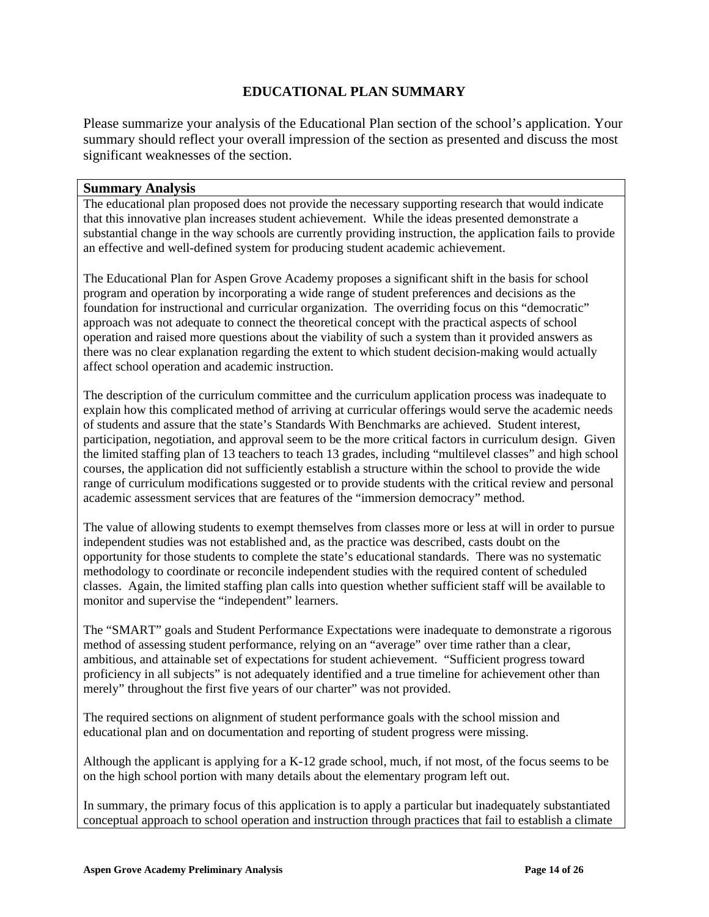### **EDUCATIONAL PLAN SUMMARY**

Please summarize your analysis of the Educational Plan section of the school's application. Your summary should reflect your overall impression of the section as presented and discuss the most significant weaknesses of the section.

#### **Summary Analysis**

The educational plan proposed does not provide the necessary supporting research that would indicate that this innovative plan increases student achievement. While the ideas presented demonstrate a substantial change in the way schools are currently providing instruction, the application fails to provide an effective and well-defined system for producing student academic achievement.

The Educational Plan for Aspen Grove Academy proposes a significant shift in the basis for school program and operation by incorporating a wide range of student preferences and decisions as the foundation for instructional and curricular organization. The overriding focus on this "democratic" approach was not adequate to connect the theoretical concept with the practical aspects of school operation and raised more questions about the viability of such a system than it provided answers as there was no clear explanation regarding the extent to which student decision-making would actually affect school operation and academic instruction.

The description of the curriculum committee and the curriculum application process was inadequate to explain how this complicated method of arriving at curricular offerings would serve the academic needs of students and assure that the state's Standards With Benchmarks are achieved. Student interest, participation, negotiation, and approval seem to be the more critical factors in curriculum design. Given the limited staffing plan of 13 teachers to teach 13 grades, including "multilevel classes" and high school courses, the application did not sufficiently establish a structure within the school to provide the wide range of curriculum modifications suggested or to provide students with the critical review and personal academic assessment services that are features of the "immersion democracy" method.

The value of allowing students to exempt themselves from classes more or less at will in order to pursue independent studies was not established and, as the practice was described, casts doubt on the opportunity for those students to complete the state's educational standards. There was no systematic methodology to coordinate or reconcile independent studies with the required content of scheduled classes. Again, the limited staffing plan calls into question whether sufficient staff will be available to monitor and supervise the "independent" learners.

The "SMART" goals and Student Performance Expectations were inadequate to demonstrate a rigorous method of assessing student performance, relying on an "average" over time rather than a clear, ambitious, and attainable set of expectations for student achievement. "Sufficient progress toward proficiency in all subjects" is not adequately identified and a true timeline for achievement other than merely" throughout the first five years of our charter" was not provided.

The required sections on alignment of student performance goals with the school mission and educational plan and on documentation and reporting of student progress were missing.

Although the applicant is applying for a K-12 grade school, much, if not most, of the focus seems to be on the high school portion with many details about the elementary program left out.

In summary, the primary focus of this application is to apply a particular but inadequately substantiated conceptual approach to school operation and instruction through practices that fail to establish a climate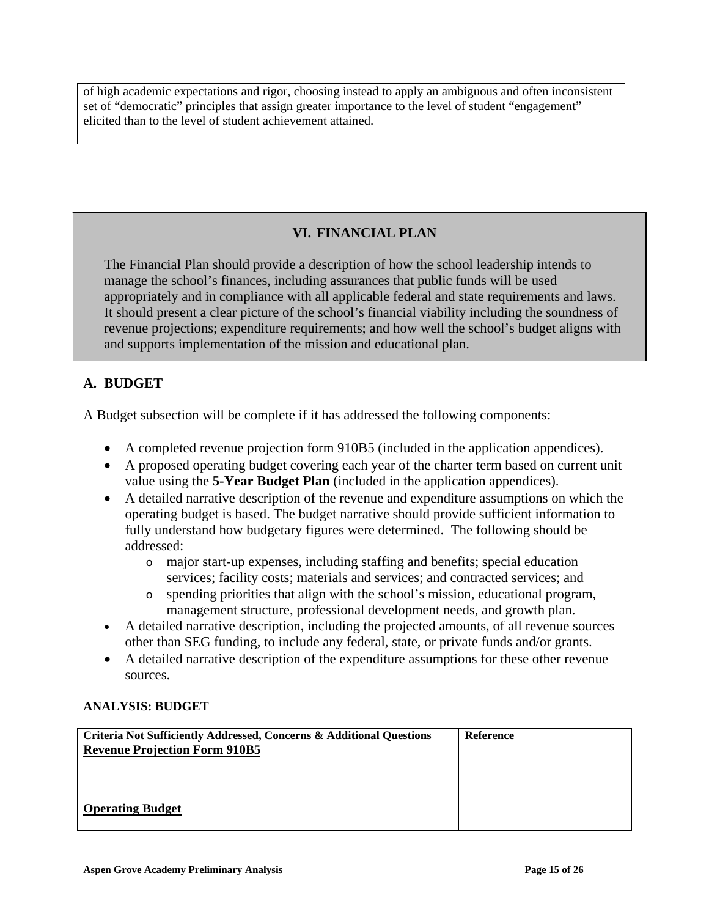of high academic expectations and rigor, choosing instead to apply an ambiguous and often inconsistent set of "democratic" principles that assign greater importance to the level of student "engagement" elicited than to the level of student achievement attained.

# **VI. FINANCIAL PLAN**

The Financial Plan should provide a description of how the school leadership intends to manage the school's finances, including assurances that public funds will be used appropriately and in compliance with all applicable federal and state requirements and laws. It should present a clear picture of the school's financial viability including the soundness of revenue projections; expenditure requirements; and how well the school's budget aligns with and supports implementation of the mission and educational plan.

# **A. BUDGET**

A Budget subsection will be complete if it has addressed the following components:

- A completed revenue projection form 910B5 (included in the application appendices).
- A proposed operating budget covering each year of the charter term based on current unit value using the **5-Year Budget Plan** (included in the application appendices).
- A detailed narrative description of the revenue and expenditure assumptions on which the operating budget is based. The budget narrative should provide sufficient information to fully understand how budgetary figures were determined. The following should be addressed:
	- o major start-up expenses, including staffing and benefits; special education services; facility costs; materials and services; and contracted services; and
	- o spending priorities that align with the school's mission, educational program, management structure, professional development needs, and growth plan.
- A detailed narrative description, including the projected amounts, of all revenue sources other than SEG funding, to include any federal, state, or private funds and/or grants.
- A detailed narrative description of the expenditure assumptions for these other revenue sources.

### **ANALYSIS: BUDGET**

| Criteria Not Sufficiently Addressed, Concerns & Additional Questions | <b>Reference</b> |
|----------------------------------------------------------------------|------------------|
| <b>Revenue Projection Form 910B5</b>                                 |                  |
|                                                                      |                  |
|                                                                      |                  |
|                                                                      |                  |
| <b>Operating Budget</b>                                              |                  |
|                                                                      |                  |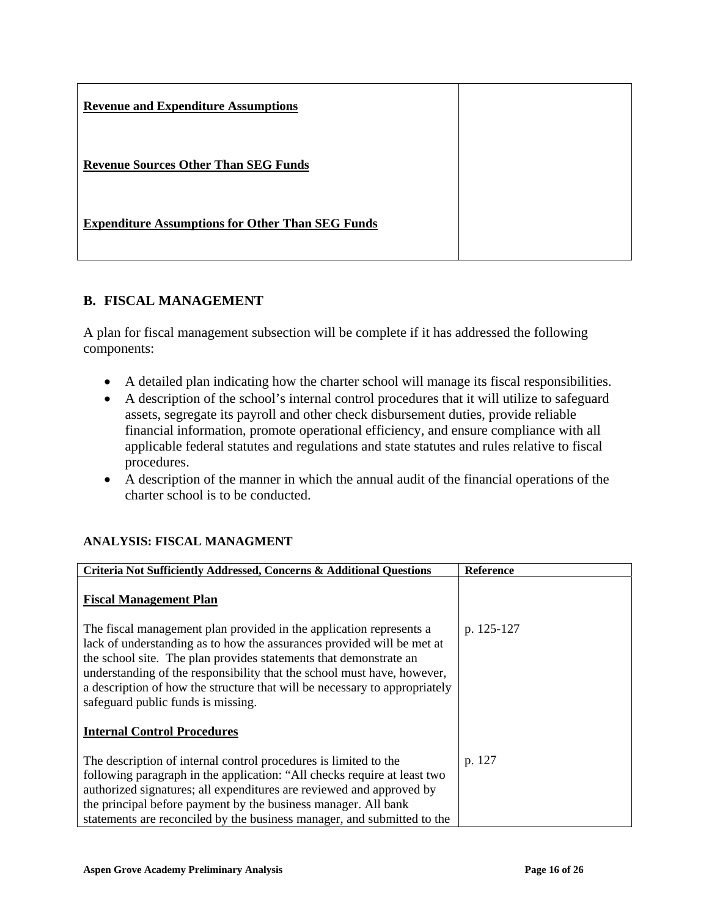| <b>Revenue and Expenditure Assumptions</b>              |  |
|---------------------------------------------------------|--|
| <b>Revenue Sources Other Than SEG Funds</b>             |  |
| <b>Expenditure Assumptions for Other Than SEG Funds</b> |  |

## **B. FISCAL MANAGEMENT**

A plan for fiscal management subsection will be complete if it has addressed the following components:

- A detailed plan indicating how the charter school will manage its fiscal responsibilities.
- A description of the school's internal control procedures that it will utilize to safeguard assets, segregate its payroll and other check disbursement duties, provide reliable financial information, promote operational efficiency, and ensure compliance with all applicable federal statutes and regulations and state statutes and rules relative to fiscal procedures.
- A description of the manner in which the annual audit of the financial operations of the charter school is to be conducted.

## **ANALYSIS: FISCAL MANAGMENT**

| Criteria Not Sufficiently Addressed, Concerns & Additional Questions                                                                                                                                                                                                                                                                                                                                              | <b>Reference</b> |
|-------------------------------------------------------------------------------------------------------------------------------------------------------------------------------------------------------------------------------------------------------------------------------------------------------------------------------------------------------------------------------------------------------------------|------------------|
| <b>Fiscal Management Plan</b>                                                                                                                                                                                                                                                                                                                                                                                     |                  |
| The fiscal management plan provided in the application represents a<br>lack of understanding as to how the assurances provided will be met at<br>the school site. The plan provides statements that demonstrate an<br>understanding of the responsibility that the school must have, however,<br>a description of how the structure that will be necessary to appropriately<br>safeguard public funds is missing. | p. 125-127       |
| <b>Internal Control Procedures</b>                                                                                                                                                                                                                                                                                                                                                                                |                  |
| The description of internal control procedures is limited to the<br>following paragraph in the application: "All checks require at least two<br>authorized signatures; all expenditures are reviewed and approved by<br>the principal before payment by the business manager. All bank<br>statements are reconciled by the business manager, and submitted to the                                                 | p. 127           |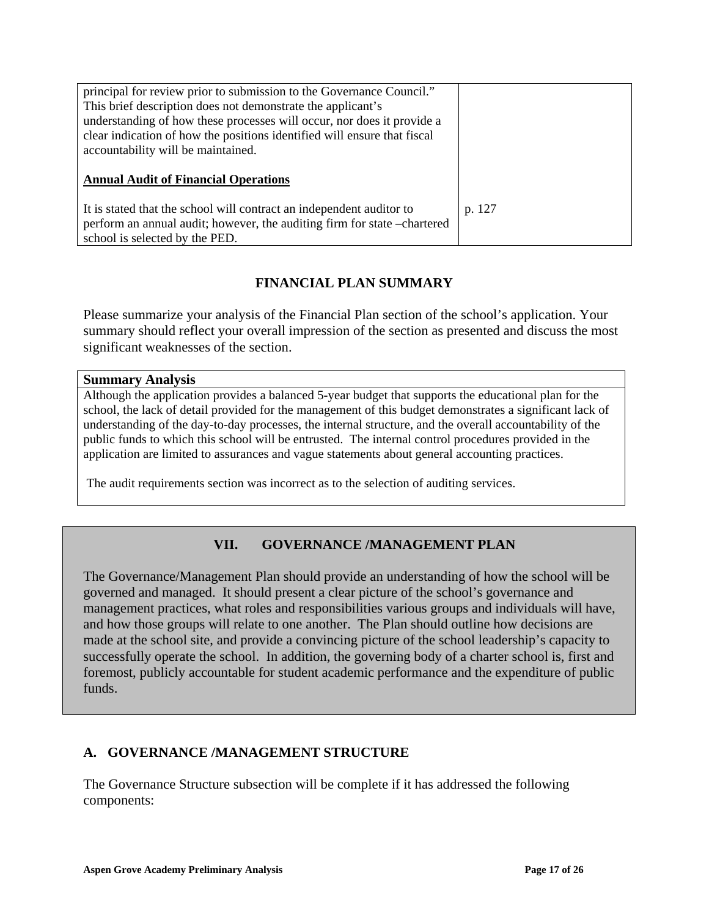| principal for review prior to submission to the Governance Council."     |        |
|--------------------------------------------------------------------------|--------|
| This brief description does not demonstrate the applicant's              |        |
| understanding of how these processes will occur, nor does it provide a   |        |
| clear indication of how the positions identified will ensure that fiscal |        |
| accountability will be maintained.                                       |        |
|                                                                          |        |
|                                                                          |        |
| <b>Annual Audit of Financial Operations</b>                              |        |
|                                                                          |        |
| It is stated that the school will contract an independent auditor to     | p. 127 |
| perform an annual audit; however, the auditing firm for state -chartered |        |

## **FINANCIAL PLAN SUMMARY**

Please summarize your analysis of the Financial Plan section of the school's application. Your summary should reflect your overall impression of the section as presented and discuss the most significant weaknesses of the section.

#### **Summary Analysis**

Although the application provides a balanced 5-year budget that supports the educational plan for the school, the lack of detail provided for the management of this budget demonstrates a significant lack of understanding of the day-to-day processes, the internal structure, and the overall accountability of the public funds to which this school will be entrusted. The internal control procedures provided in the application are limited to assurances and vague statements about general accounting practices.

The audit requirements section was incorrect as to the selection of auditing services.

## **VII. GOVERNANCE /MANAGEMENT PLAN**

The Governance/Management Plan should provide an understanding of how the school will be governed and managed. It should present a clear picture of the school's governance and management practices, what roles and responsibilities various groups and individuals will have, and how those groups will relate to one another. The Plan should outline how decisions are made at the school site, and provide a convincing picture of the school leadership's capacity to successfully operate the school. In addition, the governing body of a charter school is, first and foremost, publicly accountable for student academic performance and the expenditure of public funds.

### **A. GOVERNANCE /MANAGEMENT STRUCTURE**

The Governance Structure subsection will be complete if it has addressed the following components: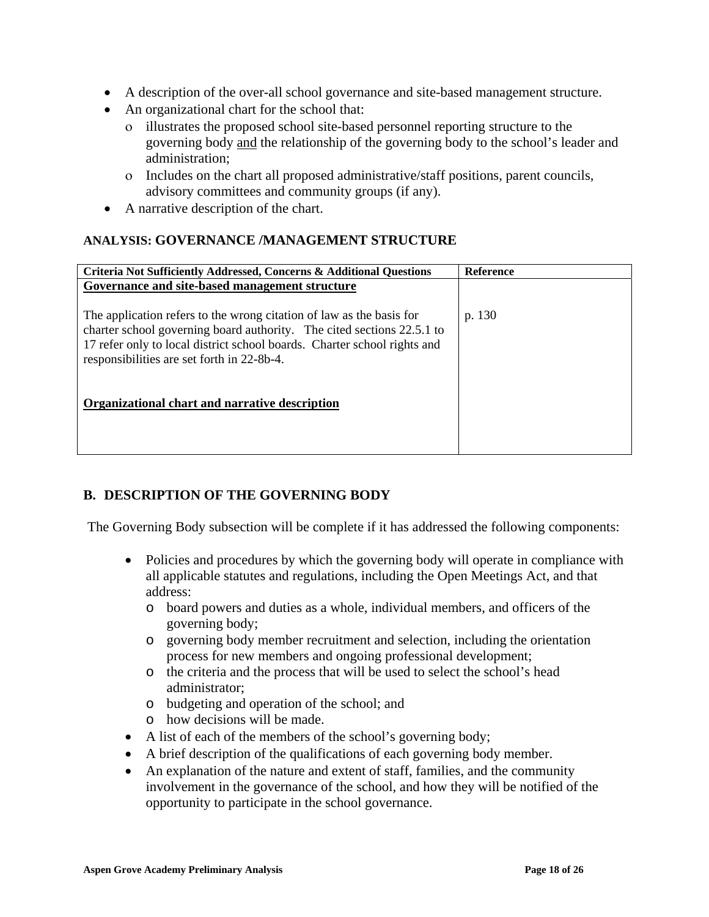- A description of the over-all school governance and site-based management structure.
- An organizational chart for the school that:
	- ο illustrates the proposed school site-based personnel reporting structure to the governing body and the relationship of the governing body to the school's leader and administration;
	- ο Includes on the chart all proposed administrative/staff positions, parent councils, advisory committees and community groups (if any).
- A narrative description of the chart.

## **ANALYSIS: GOVERNANCE /MANAGEMENT STRUCTURE**

| Criteria Not Sufficiently Addressed, Concerns & Additional Questions                                                                               | <b>Reference</b> |
|----------------------------------------------------------------------------------------------------------------------------------------------------|------------------|
| Governance and site-based management structure                                                                                                     |                  |
|                                                                                                                                                    |                  |
| The application refers to the wrong citation of law as the basis for                                                                               | p. 130           |
| charter school governing board authority. The cited sections 22.5.1 to<br>17 refer only to local district school boards. Charter school rights and |                  |
| responsibilities are set forth in 22-8b-4.                                                                                                         |                  |
|                                                                                                                                                    |                  |
|                                                                                                                                                    |                  |
| Organizational chart and narrative description                                                                                                     |                  |
|                                                                                                                                                    |                  |
|                                                                                                                                                    |                  |
|                                                                                                                                                    |                  |

## **B. DESCRIPTION OF THE GOVERNING BODY**

The Governing Body subsection will be complete if it has addressed the following components:

- Policies and procedures by which the governing body will operate in compliance with all applicable statutes and regulations, including the Open Meetings Act, and that address:
	- o board powers and duties as a whole, individual members, and officers of the governing body;
	- o governing body member recruitment and selection, including the orientation process for new members and ongoing professional development;
	- o the criteria and the process that will be used to select the school's head administrator;
	- o budgeting and operation of the school; and
	- o how decisions will be made.
- A list of each of the members of the school's governing body;
- A brief description of the qualifications of each governing body member.
- An explanation of the nature and extent of staff, families, and the community involvement in the governance of the school, and how they will be notified of the opportunity to participate in the school governance.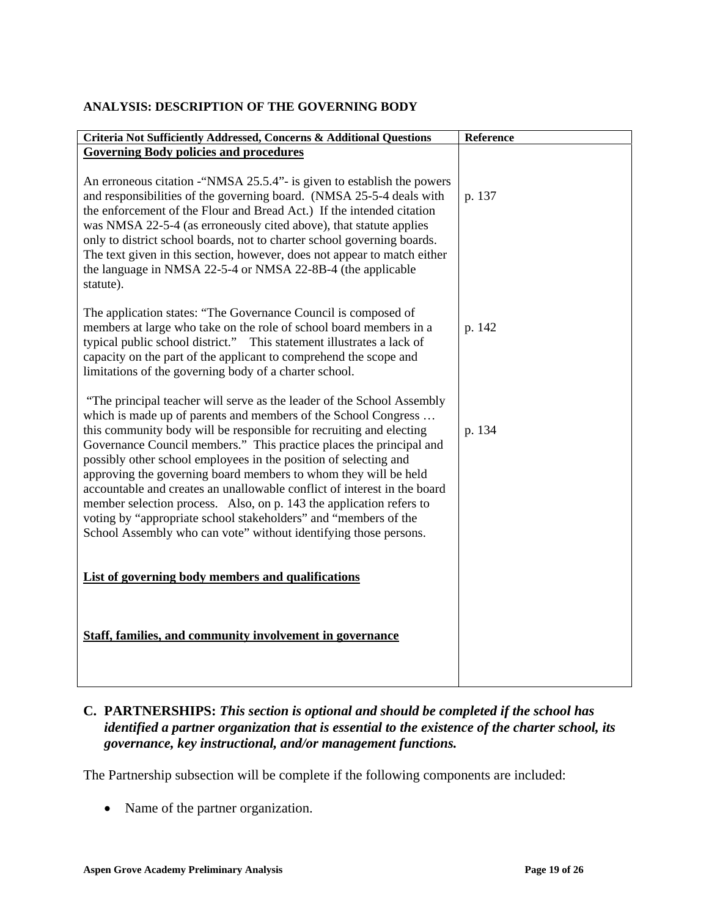### **ANALYSIS: DESCRIPTION OF THE GOVERNING BODY**

| Criteria Not Sufficiently Addressed, Concerns & Additional Questions                                                                                                                                                                                                                                                                                                                                                                                                                                                                                                                                                                                                                                                    | Reference |
|-------------------------------------------------------------------------------------------------------------------------------------------------------------------------------------------------------------------------------------------------------------------------------------------------------------------------------------------------------------------------------------------------------------------------------------------------------------------------------------------------------------------------------------------------------------------------------------------------------------------------------------------------------------------------------------------------------------------------|-----------|
| <b>Governing Body policies and procedures</b>                                                                                                                                                                                                                                                                                                                                                                                                                                                                                                                                                                                                                                                                           |           |
| An erroneous citation - "NMSA 25.5.4" - is given to establish the powers<br>and responsibilities of the governing board. (NMSA 25-5-4 deals with<br>the enforcement of the Flour and Bread Act.) If the intended citation<br>was NMSA 22-5-4 (as erroneously cited above), that statute applies<br>only to district school boards, not to charter school governing boards.<br>The text given in this section, however, does not appear to match either<br>the language in NMSA 22-5-4 or NMSA 22-8B-4 (the applicable<br>statute).                                                                                                                                                                                      | p. 137    |
| The application states: "The Governance Council is composed of<br>members at large who take on the role of school board members in a<br>typical public school district." This statement illustrates a lack of<br>capacity on the part of the applicant to comprehend the scope and<br>limitations of the governing body of a charter school.                                                                                                                                                                                                                                                                                                                                                                            | p. 142    |
| "The principal teacher will serve as the leader of the School Assembly<br>which is made up of parents and members of the School Congress<br>this community body will be responsible for recruiting and electing<br>Governance Council members." This practice places the principal and<br>possibly other school employees in the position of selecting and<br>approving the governing board members to whom they will be held<br>accountable and creates an unallowable conflict of interest in the board<br>member selection process. Also, on p. 143 the application refers to<br>voting by "appropriate school stakeholders" and "members of the<br>School Assembly who can vote" without identifying those persons. | p. 134    |
| List of governing body members and qualifications                                                                                                                                                                                                                                                                                                                                                                                                                                                                                                                                                                                                                                                                       |           |
| Staff, families, and community involvement in governance                                                                                                                                                                                                                                                                                                                                                                                                                                                                                                                                                                                                                                                                |           |

## **C. PARTNERSHIPS:** *This section is optional and should be completed if the school has identified a partner organization that is essential to the existence of the charter school, its governance, key instructional, and/or management functions.*

The Partnership subsection will be complete if the following components are included:

• Name of the partner organization.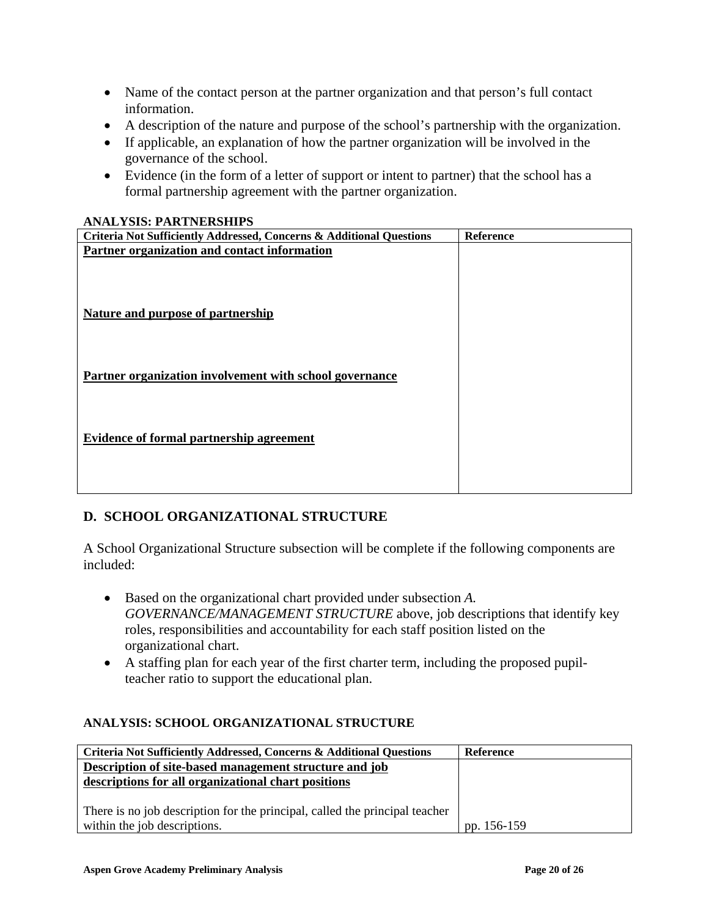- Name of the contact person at the partner organization and that person's full contact information.
- A description of the nature and purpose of the school's partnership with the organization.
- If applicable, an explanation of how the partner organization will be involved in the governance of the school.
- Evidence (in the form of a letter of support or intent to partner) that the school has a formal partnership agreement with the partner organization.

### **ANALYSIS: PARTNERSHIPS**

| личан толо, такиттерини о<br>Criteria Not Sufficiently Addressed, Concerns & Additional Questions | <b>Reference</b> |
|---------------------------------------------------------------------------------------------------|------------------|
| Partner organization and contact information                                                      |                  |
|                                                                                                   |                  |
|                                                                                                   |                  |
|                                                                                                   |                  |
| <b>Nature and purpose of partnership</b>                                                          |                  |
|                                                                                                   |                  |
|                                                                                                   |                  |
|                                                                                                   |                  |
|                                                                                                   |                  |
| Partner organization involvement with school governance                                           |                  |
|                                                                                                   |                  |
|                                                                                                   |                  |
|                                                                                                   |                  |
| Evidence of formal partnership agreement                                                          |                  |
|                                                                                                   |                  |
|                                                                                                   |                  |
|                                                                                                   |                  |
|                                                                                                   |                  |

## **D. SCHOOL ORGANIZATIONAL STRUCTURE**

A School Organizational Structure subsection will be complete if the following components are included:

- Based on the organizational chart provided under subsection *A. GOVERNANCE/MANAGEMENT STRUCTURE* above, job descriptions that identify key roles, responsibilities and accountability for each staff position listed on the organizational chart.
- A staffing plan for each year of the first charter term, including the proposed pupilteacher ratio to support the educational plan.

### **ANALYSIS: SCHOOL ORGANIZATIONAL STRUCTURE**

| Criteria Not Sufficiently Addressed, Concerns & Additional Questions        | Reference   |
|-----------------------------------------------------------------------------|-------------|
| Description of site-based management structure and job                      |             |
| descriptions for all organizational chart positions                         |             |
|                                                                             |             |
| There is no job description for the principal, called the principal teacher |             |
| within the job descriptions.                                                | pp. 156-159 |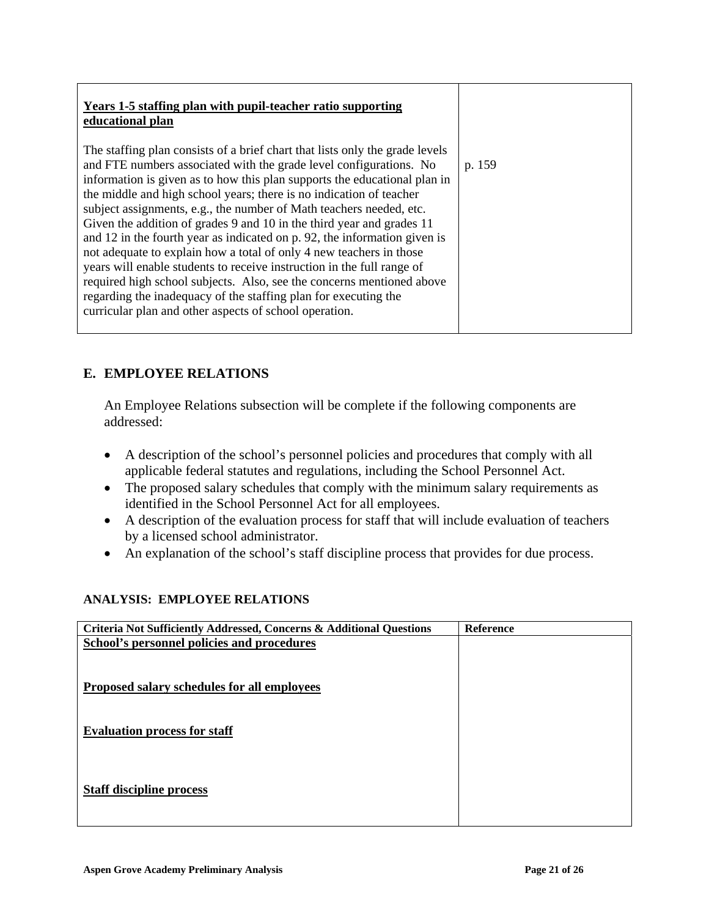| Years 1-5 staffing plan with pupil-teacher ratio supporting<br>educational plan                                                                                                                                                                                                                                                                                                                                                                                                                                                                                                                                                                                                                                                                                                                                                                                                            |        |
|--------------------------------------------------------------------------------------------------------------------------------------------------------------------------------------------------------------------------------------------------------------------------------------------------------------------------------------------------------------------------------------------------------------------------------------------------------------------------------------------------------------------------------------------------------------------------------------------------------------------------------------------------------------------------------------------------------------------------------------------------------------------------------------------------------------------------------------------------------------------------------------------|--------|
| The staffing plan consists of a brief chart that lists only the grade levels<br>and FTE numbers associated with the grade level configurations. No<br>information is given as to how this plan supports the educational plan in<br>the middle and high school years; there is no indication of teacher<br>subject assignments, e.g., the number of Math teachers needed, etc.<br>Given the addition of grades 9 and 10 in the third year and grades 11<br>and 12 in the fourth year as indicated on p. 92, the information given is<br>not adequate to explain how a total of only 4 new teachers in those<br>years will enable students to receive instruction in the full range of<br>required high school subjects. Also, see the concerns mentioned above<br>regarding the inadequacy of the staffing plan for executing the<br>curricular plan and other aspects of school operation. | p. 159 |

# **E. EMPLOYEE RELATIONS**

An Employee Relations subsection will be complete if the following components are addressed:

- A description of the school's personnel policies and procedures that comply with all applicable federal statutes and regulations, including the School Personnel Act.
- The proposed salary schedules that comply with the minimum salary requirements as identified in the School Personnel Act for all employees.
- A description of the evaluation process for staff that will include evaluation of teachers by a licensed school administrator.
- An explanation of the school's staff discipline process that provides for due process.

### **ANALYSIS: EMPLOYEE RELATIONS**

| Criteria Not Sufficiently Addressed, Concerns & Additional Questions | <b>Reference</b> |
|----------------------------------------------------------------------|------------------|
| School's personnel policies and procedures                           |                  |
|                                                                      |                  |
|                                                                      |                  |
| Proposed salary schedules for all employees                          |                  |
|                                                                      |                  |
|                                                                      |                  |
| <b>Evaluation process for staff</b>                                  |                  |
|                                                                      |                  |
|                                                                      |                  |
|                                                                      |                  |
| <b>Staff discipline process</b>                                      |                  |
|                                                                      |                  |
|                                                                      |                  |
|                                                                      |                  |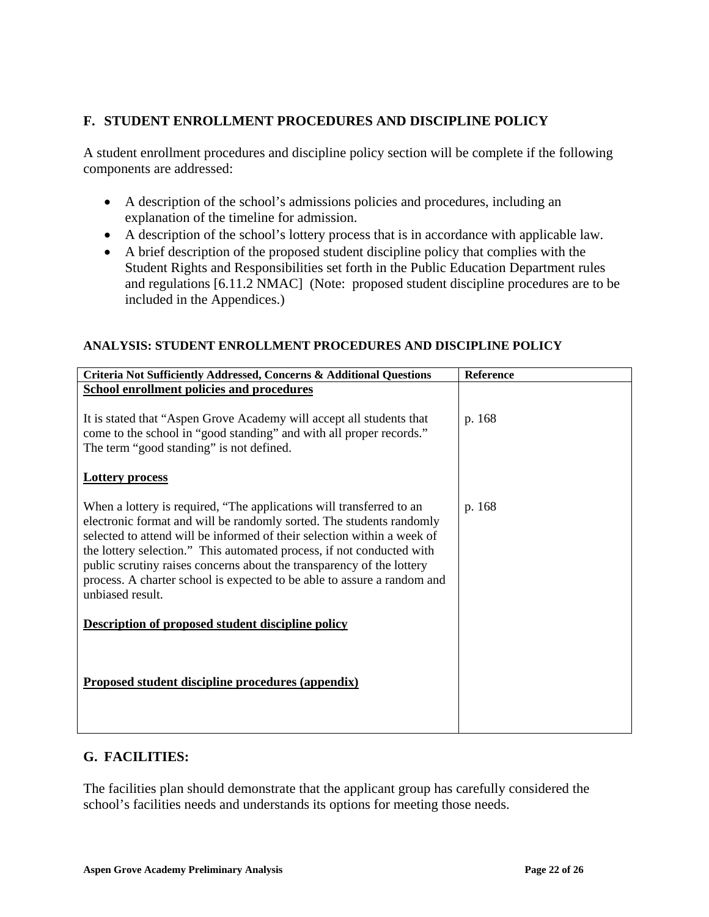## **F. STUDENT ENROLLMENT PROCEDURES AND DISCIPLINE POLICY**

A student enrollment procedures and discipline policy section will be complete if the following components are addressed:

- A description of the school's admissions policies and procedures, including an explanation of the timeline for admission.
- A description of the school's lottery process that is in accordance with applicable law.
- A brief description of the proposed student discipline policy that complies with the Student Rights and Responsibilities set forth in the Public Education Department rules and regulations [6.11.2 NMAC] (Note: proposed student discipline procedures are to be included in the Appendices.)

### **ANALYSIS: STUDENT ENROLLMENT PROCEDURES AND DISCIPLINE POLICY**

| Criteria Not Sufficiently Addressed, Concerns & Additional Questions                                                                                                                                                                                                                                                                                                                                                                                                     | Reference |
|--------------------------------------------------------------------------------------------------------------------------------------------------------------------------------------------------------------------------------------------------------------------------------------------------------------------------------------------------------------------------------------------------------------------------------------------------------------------------|-----------|
| <b>School enrollment policies and procedures</b>                                                                                                                                                                                                                                                                                                                                                                                                                         |           |
| It is stated that "Aspen Grove Academy will accept all students that<br>come to the school in "good standing" and with all proper records."<br>The term "good standing" is not defined.                                                                                                                                                                                                                                                                                  | p. 168    |
| <b>Lottery process</b>                                                                                                                                                                                                                                                                                                                                                                                                                                                   |           |
| When a lottery is required, "The applications will transferred to an<br>electronic format and will be randomly sorted. The students randomly<br>selected to attend will be informed of their selection within a week of<br>the lottery selection." This automated process, if not conducted with<br>public scrutiny raises concerns about the transparency of the lottery<br>process. A charter school is expected to be able to assure a random and<br>unbiased result. | p. 168    |
| <b>Description of proposed student discipline policy</b>                                                                                                                                                                                                                                                                                                                                                                                                                 |           |
| <b>Proposed student discipline procedures (appendix)</b>                                                                                                                                                                                                                                                                                                                                                                                                                 |           |

### **G. FACILITIES:**

The facilities plan should demonstrate that the applicant group has carefully considered the school's facilities needs and understands its options for meeting those needs.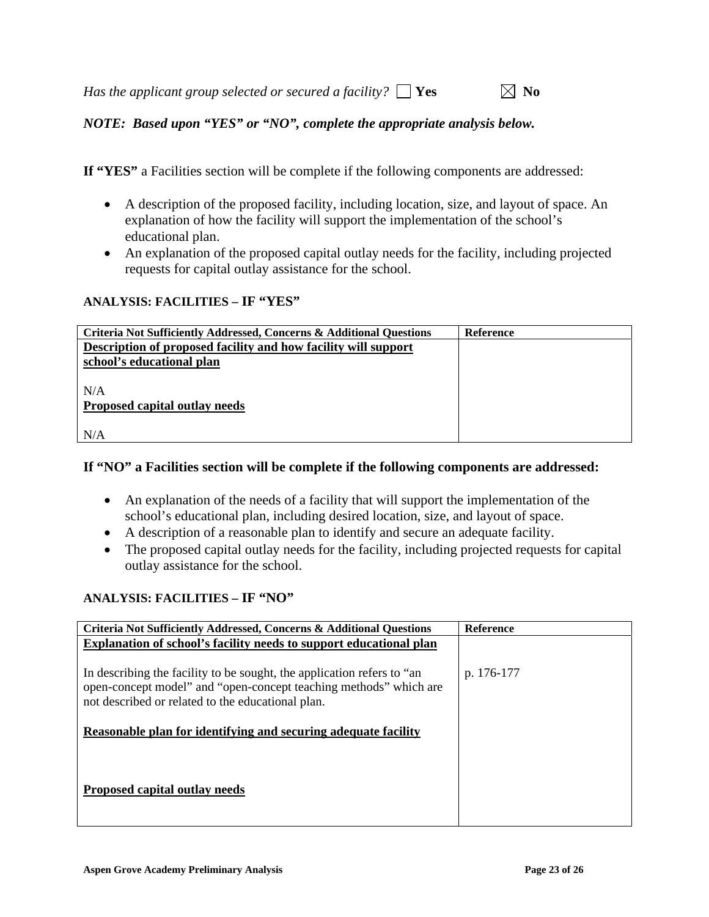| Has the applicant group selected or secured a facility? $\Box$ Yes |  |  |  |  |  |  | $\boxtimes$ No |
|--------------------------------------------------------------------|--|--|--|--|--|--|----------------|
|--------------------------------------------------------------------|--|--|--|--|--|--|----------------|

*NOTE: Based upon "YES" or "NO", complete the appropriate analysis below.* 

**If "YES"** a Facilities section will be complete if the following components are addressed:

- A description of the proposed facility, including location, size, and layout of space. An explanation of how the facility will support the implementation of the school's educational plan.
- An explanation of the proposed capital outlay needs for the facility, including projected requests for capital outlay assistance for the school.

### **ANALYSIS: FACILITIES – IF "YES"**

| Criteria Not Sufficiently Addressed, Concerns & Additional Questions | <b>Reference</b> |
|----------------------------------------------------------------------|------------------|
| Description of proposed facility and how facility will support       |                  |
| school's educational plan                                            |                  |
|                                                                      |                  |
| N/A                                                                  |                  |
| Proposed capital outlay needs                                        |                  |
|                                                                      |                  |
| N/A                                                                  |                  |

### **If "NO" a Facilities section will be complete if the following components are addressed:**

- An explanation of the needs of a facility that will support the implementation of the school's educational plan, including desired location, size, and layout of space.
- A description of a reasonable plan to identify and secure an adequate facility.
- The proposed capital outlay needs for the facility, including projected requests for capital outlay assistance for the school.

### **ANALYSIS: FACILITIES – IF "NO"**

| <b>Criteria Not Sufficiently Addressed, Concerns &amp; Additional Questions</b>                                                                                                                  | <b>Reference</b> |
|--------------------------------------------------------------------------------------------------------------------------------------------------------------------------------------------------|------------------|
| <b>Explanation of school's facility needs to support educational plan</b>                                                                                                                        |                  |
| In describing the facility to be sought, the application refers to "an<br>open-concept model" and "open-concept teaching methods" which are<br>not described or related to the educational plan. | p. 176-177       |
| Reasonable plan for identifying and securing adequate facility                                                                                                                                   |                  |
| Proposed capital outlay needs                                                                                                                                                                    |                  |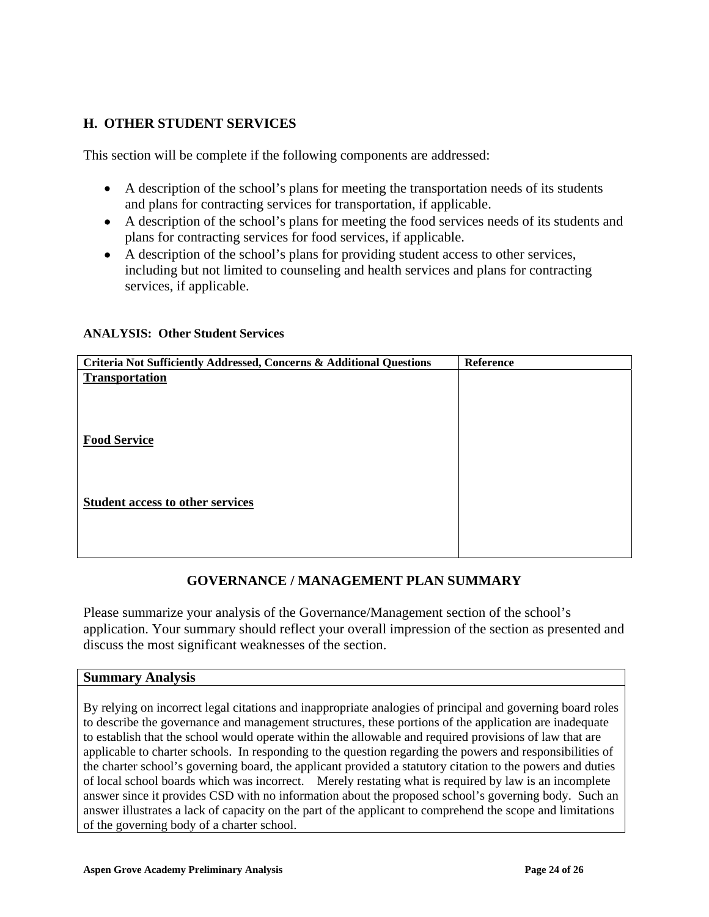# **H. OTHER STUDENT SERVICES**

This section will be complete if the following components are addressed:

- A description of the school's plans for meeting the transportation needs of its students and plans for contracting services for transportation, if applicable.
- A description of the school's plans for meeting the food services needs of its students and plans for contracting services for food services, if applicable.
- A description of the school's plans for providing student access to other services, including but not limited to counseling and health services and plans for contracting services, if applicable.

#### **ANALYSIS: Other Student Services**

| Criteria Not Sufficiently Addressed, Concerns & Additional Questions | Reference |
|----------------------------------------------------------------------|-----------|
| <b>Transportation</b>                                                |           |
|                                                                      |           |
|                                                                      |           |
|                                                                      |           |
| <b>Food Service</b>                                                  |           |
|                                                                      |           |
|                                                                      |           |
| <b>Student access to other services</b>                              |           |
|                                                                      |           |
|                                                                      |           |
|                                                                      |           |

## **GOVERNANCE / MANAGEMENT PLAN SUMMARY**

Please summarize your analysis of the Governance/Management section of the school's application. Your summary should reflect your overall impression of the section as presented and discuss the most significant weaknesses of the section.

#### **Summary Analysis**

By relying on incorrect legal citations and inappropriate analogies of principal and governing board roles to describe the governance and management structures, these portions of the application are inadequate to establish that the school would operate within the allowable and required provisions of law that are applicable to charter schools. In responding to the question regarding the powers and responsibilities of the charter school's governing board, the applicant provided a statutory citation to the powers and duties of local school boards which was incorrect. Merely restating what is required by law is an incomplete answer since it provides CSD with no information about the proposed school's governing body. Such an answer illustrates a lack of capacity on the part of the applicant to comprehend the scope and limitations of the governing body of a charter school.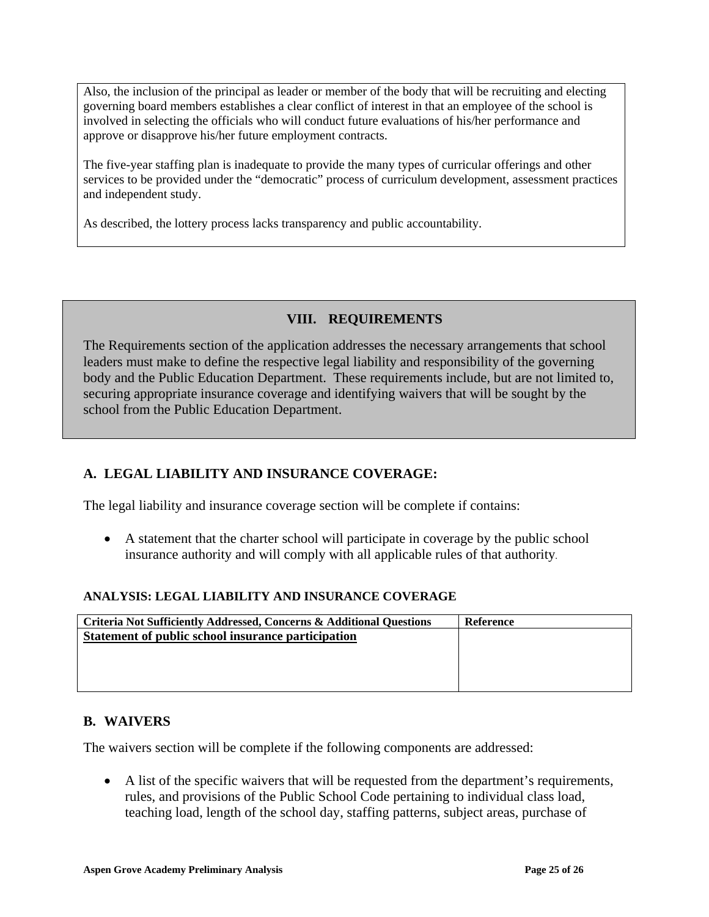Also, the inclusion of the principal as leader or member of the body that will be recruiting and electing governing board members establishes a clear conflict of interest in that an employee of the school is involved in selecting the officials who will conduct future evaluations of his/her performance and approve or disapprove his/her future employment contracts.

The five-year staffing plan is inadequate to provide the many types of curricular offerings and other services to be provided under the "democratic" process of curriculum development, assessment practices and independent study.

As described, the lottery process lacks transparency and public accountability.

## **VIII. REQUIREMENTS**

The Requirements section of the application addresses the necessary arrangements that school leaders must make to define the respective legal liability and responsibility of the governing body and the Public Education Department. These requirements include, but are not limited to, securing appropriate insurance coverage and identifying waivers that will be sought by the school from the Public Education Department.

# **A. LEGAL LIABILITY AND INSURANCE COVERAGE:**

The legal liability and insurance coverage section will be complete if contains:

• A statement that the charter school will participate in coverage by the public school insurance authority and will comply with all applicable rules of that authority.

### **ANALYSIS: LEGAL LIABILITY AND INSURANCE COVERAGE**

| <b>Criteria Not Sufficiently Addressed, Concerns &amp; Additional Questions</b> | <b>Reference</b> |
|---------------------------------------------------------------------------------|------------------|
| Statement of public school insurance participation                              |                  |
|                                                                                 |                  |
|                                                                                 |                  |
|                                                                                 |                  |
|                                                                                 |                  |

## **B. WAIVERS**

The waivers section will be complete if the following components are addressed:

• A list of the specific waivers that will be requested from the department's requirements, rules, and provisions of the Public School Code pertaining to individual class load, teaching load, length of the school day, staffing patterns, subject areas, purchase of